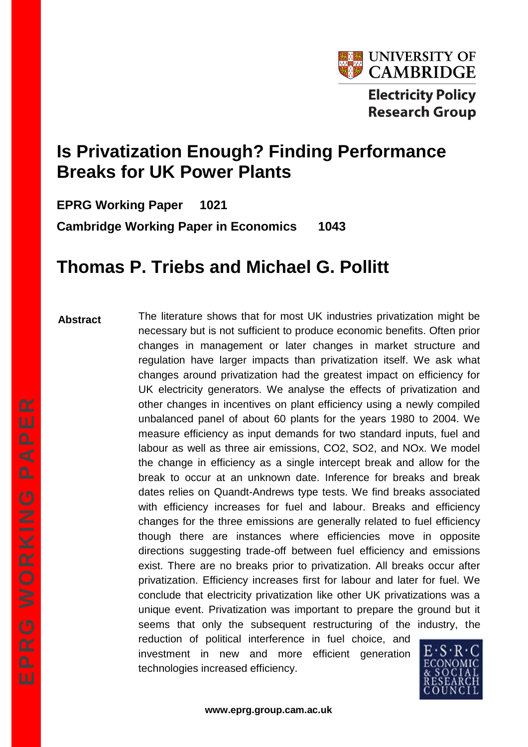

# **Is Privatization Enough? Finding Performance Breaks for UK Power Plants**

**EPRG Working Paper 1021 Cambridge Working Paper in Economics 1043**

# **Thomas P. Triebs and Michael G. Pollitt**

**Abstract** The literature shows that for most UK industries privatization might be necessary but is not sufficient to produce economic benefits. Often prior changes in management or later changes in market structure and regulation have larger impacts than privatization itself. We ask what changes around privatization had the greatest impact on efficiency for UK electricity generators. We analyse the effects of privatization and other changes in incentives on plant efficiency using a newly compiled unbalanced panel of about 60 plants for the years 1980 to 2004. We measure efficiency as input demands for two standard inputs, fuel and labour as well as three air emissions, CO2, SO2, and NOx. We model the change in efficiency as a single intercept break and allow for the break to occur at an unknown date. Inference for breaks and break dates relies on Quandt-Andrews type tests. We find breaks associated with efficiency increases for fuel and labour. Breaks and efficiency changes for the three emissions are generally related to fuel efficiency though there are instances where efficiencies move in opposite directions suggesting trade-off between fuel efficiency and emissions exist. There are no breaks prior to privatization. All breaks occur after privatization. Efficiency increases first for labour and later for fuel. We conclude that electricity privatization like other UK privatizations was a unique event. Privatization was important to prepare the ground but it seems that only the subsequent restructuring of the industry, the reduction of political interference in fuel choice, and investment in new and more efficient generation

technologies increased efficiency.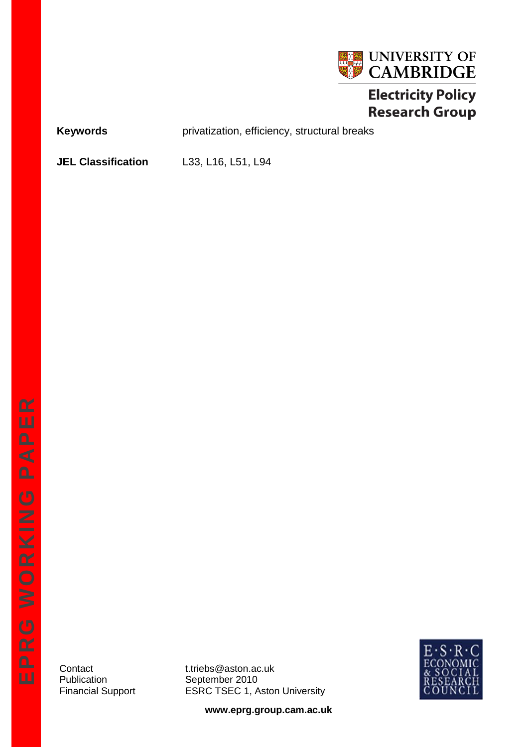

# **Electricity Policy Research Group**

Keywords **Keywords** privatization, efficiency, structural breaks

**JEL Classification** L33, L16, L51, L94

Contact t.triebs@aston.ac.uk<br>Publication September 2010 September 2010 Financial Support ESRC TSEC 1, Aston University



**www.eprg.group.cam.ac.uk**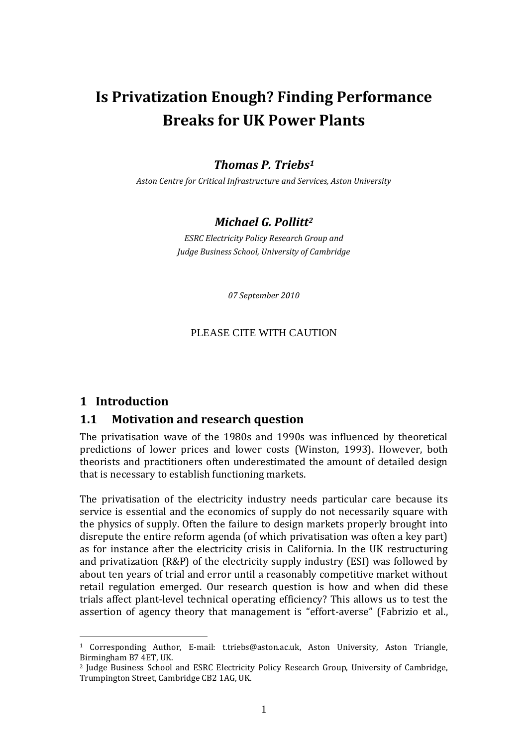# **Is Privatization Enough? Finding Performance Breaks for UK Power Plants**

## *Thomas P. Triebs<sup>1</sup>*

*Aston Centre for Critical Infrastructure and Services, Aston University*

### *Michael G. Pollitt<sup>2</sup>*

*ESRC Electricity Policy Research Group and Judge Business School, University of Cambridge*

*07 September 2010*

#### PLEASE CITE WITH CAUTION

#### **1 Introduction**

<u>.</u>

#### **1.1 Motivation and research question**

The privatisation wave of the 1980s and 1990s was influenced by theoretical predictions of lower prices and lower costs (Winston, 1993). However, both theorists and practitioners often underestimated the amount of detailed design that is necessary to establish functioning markets.

The privatisation of the electricity industry needs particular care because its service is essential and the economics of supply do not necessarily square with the physics of supply. Often the failure to design markets properly brought into disrepute the entire reform agenda (of which privatisation was often a key part) as for instance after the electricity crisis in California. In the UK restructuring and privatization (R&P) of the electricity supply industry (ESI) was followed by about ten years of trial and error until a reasonably competitive market without retail regulation emerged. Our research question is how and when did these trials affect plant-level technical operating efficiency? This allows us to test the assertion of agency theory that management is "effort-averse" (Fabrizio et al.,

<sup>1</sup> Corresponding Author, E-mail: t.triebs@aston.ac.uk, Aston University, Aston Triangle, Birmingham B7 4ET, UK.

<sup>&</sup>lt;sup>2</sup> Judge Business School and ESRC Electricity Policy Research Group, University of Cambridge, Trumpington Street, Cambridge CB2 1AG, UK.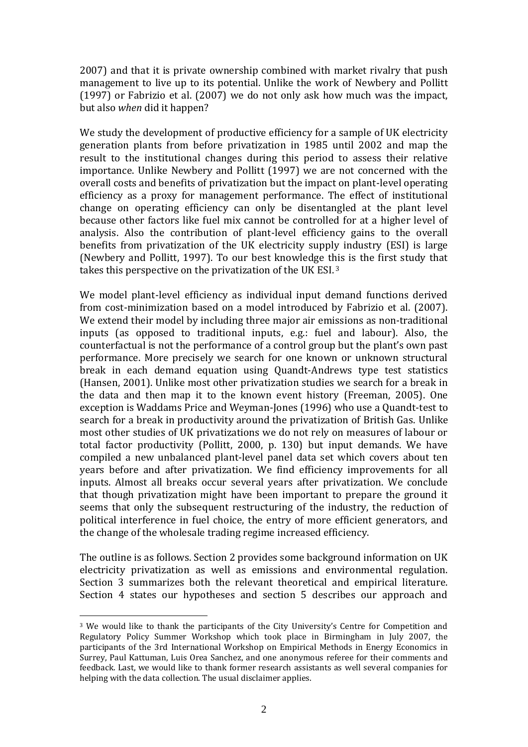2007) and that it is private ownership combined with market rivalry that push management to live up to its potential. Unlike the work of Newbery and Pollitt (1997) or Fabrizio et al. (2007) we do not only ask how much was the impact, but also *when* did it happen?

We study the development of productive efficiency for a sample of UK electricity generation plants from before privatization in 1985 until 2002 and map the result to the institutional changes during this period to assess their relative importance. Unlike Newbery and Pollitt (1997) we are not concerned with the overall costs and benefits of privatization but the impact on plant-level operating efficiency as a proxy for management performance. The effect of institutional change on operating efficiency can only be disentangled at the plant level because other factors like fuel mix cannot be controlled for at a higher level of analysis. Also the contribution of plant-level efficiency gains to the overall benefits from privatization of the UK electricity supply industry (ESI) is large (Newbery and Pollitt, 1997). To our best knowledge this is the first study that takes this perspective on the privatization of the UK ESI. <sup>3</sup>

We model plant-level efficiency as individual input demand functions derived from cost-minimization based on a model introduced by Fabrizio et al. (2007). We extend their model by including three major air emissions as non-traditional inputs (as opposed to traditional inputs, e.g.: fuel and labour). Also, the counterfactual is not the performance of a control group but the plant's own past performance. More precisely we search for one known or unknown structural break in each demand equation using Quandt-Andrews type test statistics (Hansen, 2001). Unlike most other privatization studies we search for a break in the data and then map it to the known event history (Freeman, 2005). One exception is Waddams Price and Weyman-Jones (1996) who use a Quandt-test to search for a break in productivity around the privatization of British Gas. Unlike most other studies of UK privatizations we do not rely on measures of labour or total factor productivity (Pollitt, 2000, p. 130) but input demands. We have compiled a new unbalanced plant-level panel data set which covers about ten years before and after privatization. We find efficiency improvements for all inputs. Almost all breaks occur several years after privatization. We conclude that though privatization might have been important to prepare the ground it seems that only the subsequent restructuring of the industry, the reduction of political interference in fuel choice, the entry of more efficient generators, and the change of the wholesale trading regime increased efficiency.

The outline is as follows. Section 2 provides some background information on UK electricity privatization as well as emissions and environmental regulation. Section 3 summarizes both the relevant theoretical and empirical literature. Section 4 states our hypotheses and section 5 describes our approach and

1

<sup>&</sup>lt;sup>3</sup> We would like to thank the participants of the City University's Centre for Competition and Regulatory Policy Summer Workshop which took place in Birmingham in July 2007, the participants of the 3rd International Workshop on Empirical Methods in Energy Economics in Surrey, Paul Kattuman, Luis Orea Sanchez, and one anonymous referee for their comments and feedback. Last, we would like to thank former research assistants as well several companies for helping with the data collection. The usual disclaimer applies.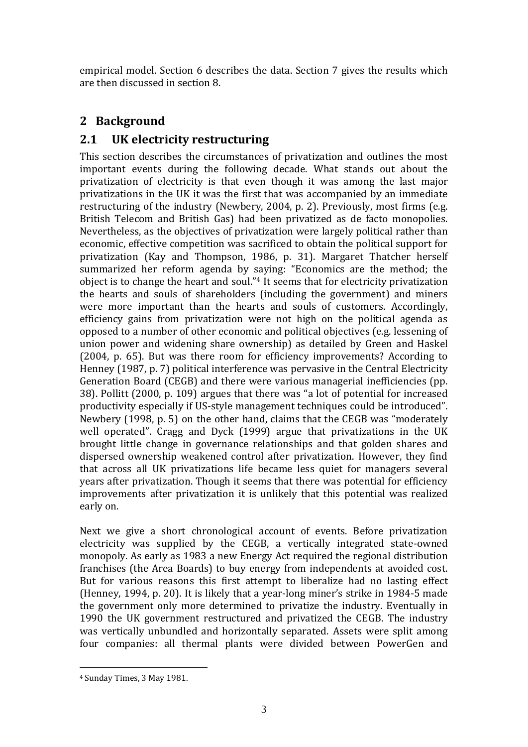empirical model. Section 6 describes the data. Section 7 gives the results which are then discussed in section 8.

# **2 Background**

# **2.1 UK electricity restructuring**

This section describes the circumstances of privatization and outlines the most important events during the following decade. What stands out about the privatization of electricity is that even though it was among the last major privatizations in the UK it was the first that was accompanied by an immediate restructuring of the industry (Newbery, 2004, p. 2). Previously, most firms (e.g. British Telecom and British Gas) had been privatized as de facto monopolies. Nevertheless, as the objectives of privatization were largely political rather than economic, effective competition was sacrificed to obtain the political support for privatization (Kay and Thompson, 1986, p. 31). Margaret Thatcher herself summarized her reform agenda by saying: "Economics are the method; the object is to change the heart and soul."<sup>4</sup> It seems that for electricity privatization the hearts and souls of shareholders (including the government) and miners were more important than the hearts and souls of customers. Accordingly, efficiency gains from privatization were not high on the political agenda as opposed to a number of other economic and political objectives (e.g. lessening of union power and widening share ownership) as detailed by Green and Haskel (2004, p. 65). But was there room for efficiency improvements? According to Henney (1987, p. 7) political interference was pervasive in the Central Electricity Generation Board (CEGB) and there were various managerial inefficiencies (pp. 38). Pollitt (2000, p. 109) argues that there was "a lot of potential for increased productivity especially if US-style management techniques could be introduced". Newbery (1998, p. 5) on the other hand, claims that the CEGB was "moderately well operated". Cragg and Dyck (1999) argue that privatizations in the UK brought little change in governance relationships and that golden shares and dispersed ownership weakened control after privatization. However, they find that across all UK privatizations life became less quiet for managers several years after privatization. Though it seems that there was potential for efficiency improvements after privatization it is unlikely that this potential was realized early on.

Next we give a short chronological account of events. Before privatization electricity was supplied by the CEGB, a vertically integrated state-owned monopoly. As early as 1983 a new Energy Act required the regional distribution franchises (the Area Boards) to buy energy from independents at avoided cost. But for various reasons this first attempt to liberalize had no lasting effect (Henney, 1994, p. 20). It is likely that a year-long miner's strike in 1984-5 made the government only more determined to privatize the industry. Eventually in 1990 the UK government restructured and privatized the CEGB. The industry was vertically unbundled and horizontally separated. Assets were split among four companies: all thermal plants were divided between PowerGen and

<u>.</u>

<sup>4</sup> Sunday Times, 3 May 1981.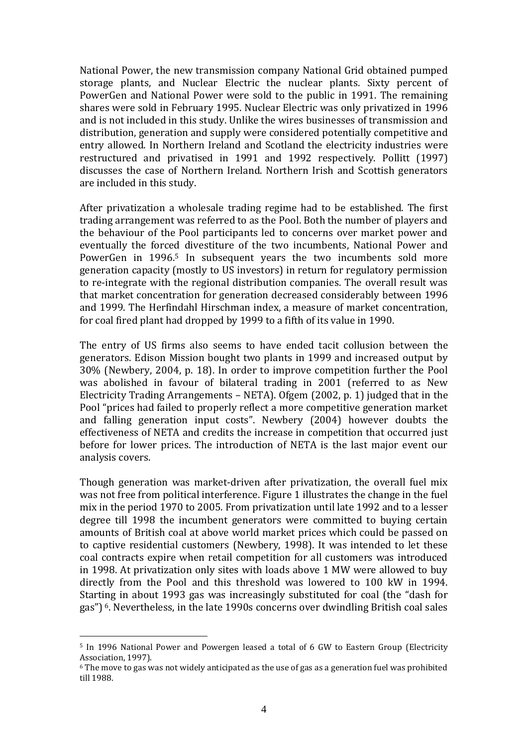National Power, the new transmission company National Grid obtained pumped storage plants, and Nuclear Electric the nuclear plants. Sixty percent of PowerGen and National Power were sold to the public in 1991. The remaining shares were sold in February 1995. Nuclear Electric was only privatized in 1996 and is not included in this study. Unlike the wires businesses of transmission and distribution, generation and supply were considered potentially competitive and entry allowed. In Northern Ireland and Scotland the electricity industries were restructured and privatised in 1991 and 1992 respectively. Pollitt (1997) discusses the case of Northern Ireland. Northern Irish and Scottish generators are included in this study.

After privatization a wholesale trading regime had to be established. The first trading arrangement was referred to as the Pool. Both the number of players and the behaviour of the Pool participants led to concerns over market power and eventually the forced divestiture of the two incumbents, National Power and PowerGen in 1996. <sup>5</sup> In subsequent years the two incumbents sold more generation capacity (mostly to US investors) in return for regulatory permission to re-integrate with the regional distribution companies. The overall result was that market concentration for generation decreased considerably between 1996 and 1999. The Herfindahl Hirschman index, a measure of market concentration, for coal fired plant had dropped by 1999 to a fifth of its value in 1990.

The entry of US firms also seems to have ended tacit collusion between the generators. Edison Mission bought two plants in 1999 and increased output by 30% (Newbery, 2004, p. 18). In order to improve competition further the Pool was abolished in favour of bilateral trading in 2001 (referred to as New Electricity Trading Arrangements – NETA). Ofgem (2002, p. 1) judged that in the Pool "prices had failed to properly reflect a more competitive generation market and falling generation input costs". Newbery (2004) however doubts the effectiveness of NETA and credits the increase in competition that occurred just before for lower prices. The introduction of NETA is the last major event our analysis covers.

Though generation was market-driven after privatization, the overall fuel mix was not free from political interference. [Figure 1](#page-6-0) illustrates the change in the fuel mix in the period 1970 to 2005. From privatization until late 1992 and to a lesser degree till 1998 the incumbent generators were committed to buying certain amounts of British coal at above world market prices which could be passed on to captive residential customers (Newbery, 1998). It was intended to let these coal contracts expire when retail competition for all customers was introduced in 1998. At privatization only sites with loads above 1 MW were allowed to buy directly from the Pool and this threshold was lowered to 100 kW in 1994. Starting in about 1993 gas was increasingly substituted for coal (the "dash for gas") <sup>6</sup>. Nevertheless, in the late 1990s concerns over dwindling British coal sales

<u>.</u>

<sup>5</sup> In 1996 National Power and Powergen leased a total of 6 GW to Eastern Group (Electricity Association, 1997).

 $6$  The move to gas was not widely anticipated as the use of gas as a generation fuel was prohibited till 1988.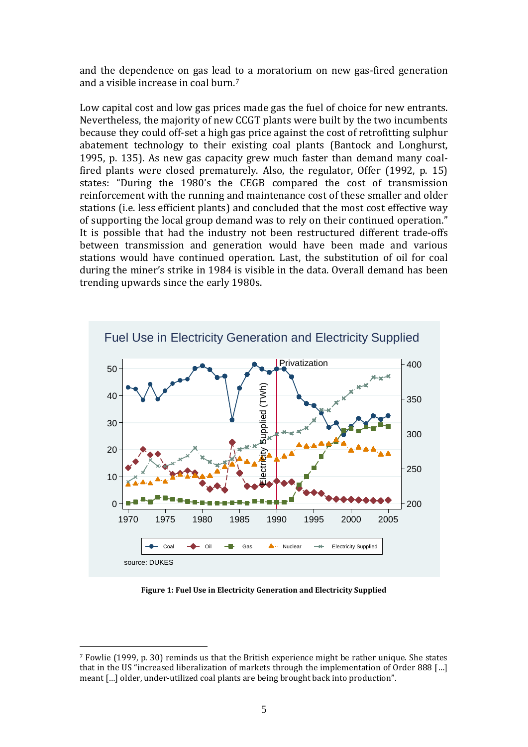and the dependence on gas lead to a moratorium on new gas-fired generation and a visible increase in coal burn.<sup>7</sup>

Low capital cost and low gas prices made gas the fuel of choice for new entrants. Nevertheless, the majority of new CCGT plants were built by the two incumbents because they could off-set a high gas price against the cost of retrofitting sulphur abatement technology to their existing coal plants (Bantock and Longhurst, 1995, p. 135). As new gas capacity grew much faster than demand many coalfired plants were closed prematurely. Also, the regulator, Offer (1992, p. 15) states: "During the 1980's the CEGB compared the cost of transmission reinforcement with the running and maintenance cost of these smaller and older stations (i.e. less efficient plants) and concluded that the most cost effective way of supporting the local group demand was to rely on their continued operation." It is possible that had the industry not been restructured different trade-offs between transmission and generation would have been made and various stations would have continued operation. Last, the substitution of oil for coal during the miner's strike in 1984 is visible in the data. Overall demand has been trending upwards since the early 1980s.



**Figure 1: Fuel Use in Electricity Generation and Electricity Supplied**

<span id="page-6-0"></span>1

<sup>7</sup> Fowlie (1999, p. 30) reminds us that the British experience might be rather unique. She states that in the US "increased liberalization of markets through the implementation of Order 888 […] meant […] older, under-utilized coal plants are being brought back into production".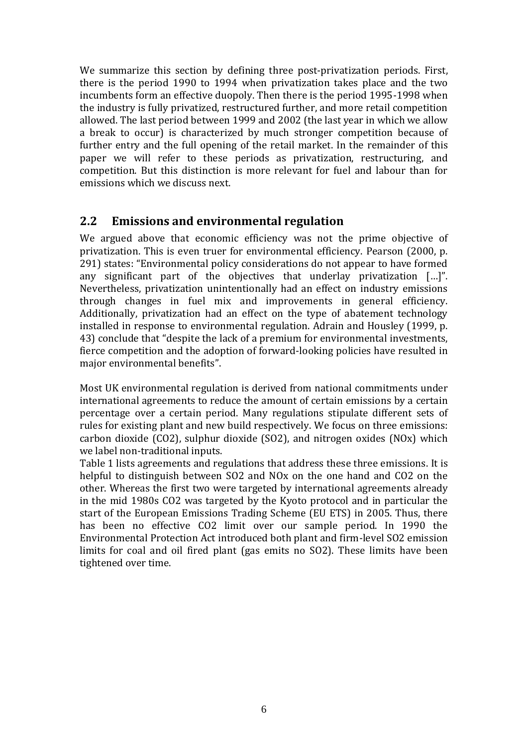We summarize this section by defining three post-privatization periods. First, there is the period 1990 to 1994 when privatization takes place and the two incumbents form an effective duopoly. Then there is the period 1995-1998 when the industry is fully privatized, restructured further, and more retail competition allowed. The last period between 1999 and 2002 (the last year in which we allow a break to occur) is characterized by much stronger competition because of further entry and the full opening of the retail market. In the remainder of this paper we will refer to these periods as privatization, restructuring, and competition. But this distinction is more relevant for fuel and labour than for emissions which we discuss next.

#### **2.2 Emissions and environmental regulation**

We argued above that economic efficiency was not the prime objective of privatization. This is even truer for environmental efficiency. Pearson (2000, p. 291) states: "Environmental policy considerations do not appear to have formed any significant part of the objectives that underlay privatization […]". Nevertheless, privatization unintentionally had an effect on industry emissions through changes in fuel mix and improvements in general efficiency. Additionally, privatization had an effect on the type of abatement technology installed in response to environmental regulation. Adrain and Housley (1999, p. 43) conclude that "despite the lack of a premium for environmental investments, fierce competition and the adoption of forward-looking policies have resulted in major environmental benefits".

Most UK environmental regulation is derived from national commitments under international agreements to reduce the amount of certain emissions by a certain percentage over a certain period. Many regulations stipulate different sets of rules for existing plant and new build respectively. We focus on three emissions: carbon dioxide (CO2), sulphur dioxide (SO2), and nitrogen oxides (NOx) which we label non-traditional inputs[.](#page-8-0) 

[Table](#page-8-0) 1 lists agreements and regulations that address these three emissions. It is helpful to distinguish between SO2 and NOx on the one hand and CO2 on the other. Whereas the first two were targeted by international agreements already in the mid 1980s CO2 was targeted by the Kyoto protocol and in particular the start of the European Emissions Trading Scheme (EU ETS) in 2005. Thus, there has been no effective CO2 limit over our sample period. In 1990 the Environmental Protection Act introduced both plant and firm-level SO2 emission limits for coal and oil fired plant (gas emits no SO2). These limits have been tightened over time.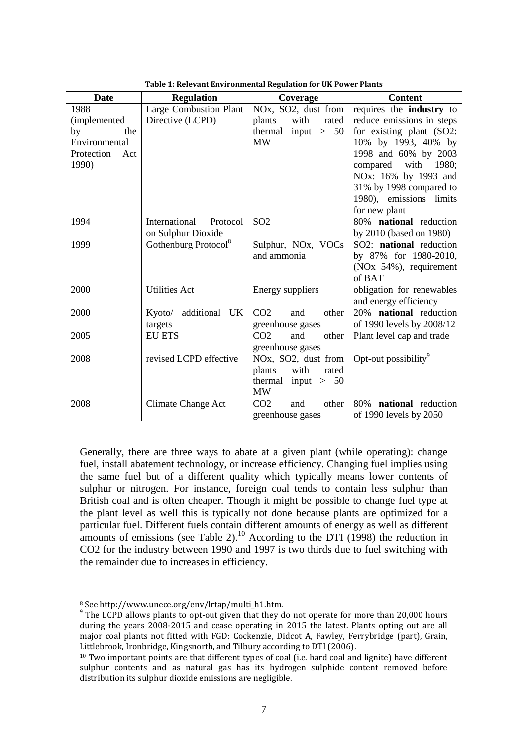<span id="page-8-0"></span>

| Date              | <b>Regulation</b>                | Coverage                                      | <b>Content</b>                     |
|-------------------|----------------------------------|-----------------------------------------------|------------------------------------|
| 1988              | <b>Large Combustion Plant</b>    | NO <sub>x</sub> , SO <sub>2</sub> , dust from | requires the industry to           |
| (implemented      | Directive (LCPD)                 | plants<br>rated<br>with                       | reduce emissions in steps          |
| by<br>the         |                                  | thermal input $> 50$                          | for existing plant (SO2:           |
| Environmental     |                                  | <b>MW</b>                                     | 10% by 1993, 40% by                |
| Protection<br>Act |                                  |                                               | 1998 and 60% by 2003               |
| 1990)             |                                  |                                               | compared with 1980;                |
|                   |                                  |                                               | NOx: 16% by 1993 and               |
|                   |                                  |                                               | 31% by 1998 compared to            |
|                   |                                  |                                               | 1980), emissions limits            |
|                   |                                  |                                               | for new plant                      |
| 1994              | International<br>Protocol        | SO <sub>2</sub>                               | 80% national reduction             |
|                   | on Sulphur Dioxide               |                                               | by 2010 (based on 1980)            |
| 1999              | Gothenburg Protocol <sup>8</sup> | Sulphur, NOx, VOCs                            | SO2: national reduction            |
|                   |                                  | and ammonia                                   | by 87% for 1980-2010,              |
|                   |                                  |                                               | (NO <sub>x</sub> 54%), requirement |
|                   |                                  |                                               | of BAT                             |
| 2000              | <b>Utilities Act</b>             | Energy suppliers                              | obligation for renewables          |
|                   |                                  |                                               | and energy efficiency              |
| 2000              | Kyoto/ additional UK             | CO <sub>2</sub><br>and<br>other               | 20% national reduction             |
|                   | targets                          | greenhouse gases                              | of 1990 levels by 2008/12          |
| 2005              | <b>EU ETS</b>                    | CO <sub>2</sub><br>other<br>and               | Plant level cap and trade          |
|                   |                                  | greenhouse gases                              |                                    |
| 2008              | revised LCPD effective           | NO <sub>x</sub> , SO <sub>2</sub> , dust from | Opt-out possibility <sup>9</sup>   |
|                   |                                  | plants<br>with<br>rated                       |                                    |
|                   |                                  | thermal input $> 50$                          |                                    |
|                   |                                  | <b>MW</b>                                     |                                    |
| 2008              | Climate Change Act               | CO <sub>2</sub><br>and<br>other               | 80% national reduction             |
|                   |                                  | greenhouse gases                              | of 1990 levels by 2050             |

**Table 1: Relevant Environmental Regulation for UK Power Plants**

Generally, there are three ways to abate at a given plant (while operating): change fuel, install abatement technology, or increase efficiency. Changing fuel implies using the same fuel but of a different quality which typically means lower contents of sulphur or nitrogen. For instance, foreign coal tends to contain less sulphur than British coal and is often cheaper. Though it might be possible to change fuel type at the plant level as well this is typically not done because plants are optimized for a particular fuel. Different fuels contain different amounts of energy as well as different amounts of emissions (see [Table 2\)](#page-9-0).<sup>10</sup> According to the DTI (1998) the reduction in CO2 for the industry between 1990 and 1997 is two thirds due to fuel switching with the remainder due to increases in efficiency.

1

<sup>8</sup> See http://www.unece.org/env/lrtap/multi\_h1.htm.

<sup>&</sup>lt;sup>9</sup> The LCPD allows plants to opt-out given that they do not operate for more than 20,000 hours during the years 2008-2015 and cease operating in 2015 the latest. Plants opting out are all major coal plants not fitted with FGD: Cockenzie, Didcot A, Fawley, Ferrybridge (part), Grain, Littlebrook, Ironbridge, Kingsnorth, and Tilbury according to DTI (2006).

<sup>10</sup> Two important points are that different types of coal (i.e. hard coal and lignite) have different sulphur contents and as natural gas has its hydrogen sulphide content removed before distribution its sulphur dioxide emissions are negligible.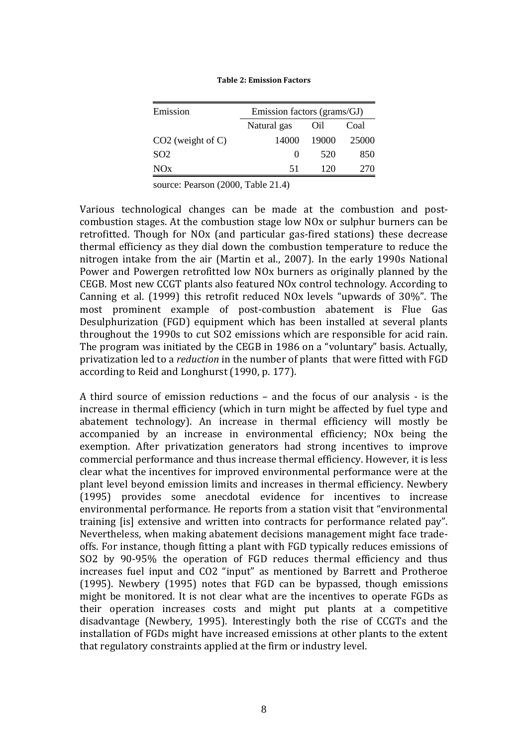<span id="page-9-0"></span>

| Emission            | Emission factors (grams/GJ) |       |       |  |  |
|---------------------|-----------------------------|-------|-------|--|--|
|                     | Natural gas                 | Oil   | Coal  |  |  |
| $CO2$ (weight of C) | 14000                       | 19000 | 25000 |  |  |
| SO <sub>2</sub>     | $\mathbf{\Omega}$           | 520   | 850   |  |  |
| NOx                 | 51                          | 120   | 270   |  |  |

**Table 2: Emission Factors**

source: Pearson (2000, Table 21.4)

Various technological changes can be made at the combustion and postcombustion stages. At the combustion stage low NOx or sulphur burners can be retrofitted. Though for NOx (and particular gas-fired stations) these decrease thermal efficiency as they dial down the combustion temperature to reduce the nitrogen intake from the air (Martin et al., 2007). In the early 1990s National Power and Powergen retrofitted low NOx burners as originally planned by the CEGB. Most new CCGT plants also featured NOx control technology. According to Canning et al. (1999) this retrofit reduced NOx levels "upwards of 30%". The most prominent example of post-combustion abatement is Flue Gas Desulphurization (FGD) equipment which has been installed at several plants throughout the 1990s to cut SO2 emissions which are responsible for acid rain. The program was initiated by the CEGB in 1986 on a "voluntary" basis. Actually, privatization led to a *reduction* in the number of plants that were fitted with FGD according to Reid and Longhurst (1990, p. 177).

A third source of emission reductions – and the focus of our analysis - is the increase in thermal efficiency (which in turn might be affected by fuel type and abatement technology). An increase in thermal efficiency will mostly be accompanied by an increase in environmental efficiency; NOx being the exemption. After privatization generators had strong incentives to improve commercial performance and thus increase thermal efficiency. However, it is less clear what the incentives for improved environmental performance were at the plant level beyond emission limits and increases in thermal efficiency. Newbery (1995) provides some anecdotal evidence for incentives to increase environmental performance. He reports from a station visit that "environmental training [is] extensive and written into contracts for performance related pay". Nevertheless, when making abatement decisions management might face tradeoffs. For instance, though fitting a plant with FGD typically reduces emissions of SO2 by 90-95% the operation of FGD reduces thermal efficiency and thus increases fuel input and CO2 "input" as mentioned by Barrett and Protheroe (1995). Newbery (1995) notes that FGD can be bypassed, though emissions might be monitored. It is not clear what are the incentives to operate FGDs as their operation increases costs and might put plants at a competitive disadvantage (Newbery, 1995). Interestingly both the rise of CCGTs and the installation of FGDs might have increased emissions at other plants to the extent that regulatory constraints applied at the firm or industry level.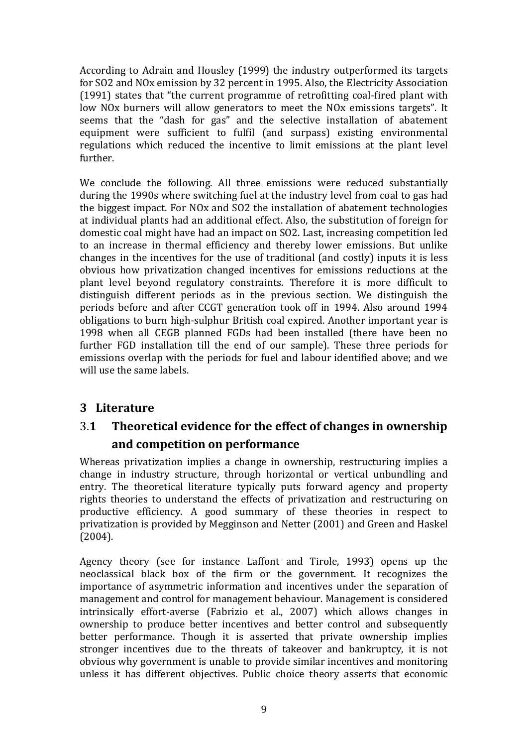According to Adrain and Housley (1999) the industry outperformed its targets for SO2 and NOx emission by 32 percent in 1995. Also, the Electricity Association (1991) states that "the current programme of retrofitting coal-fired plant with low NOx burners will allow generators to meet the NOx emissions targets". It seems that the "dash for gas" and the selective installation of abatement equipment were sufficient to fulfil (and surpass) existing environmental regulations which reduced the incentive to limit emissions at the plant level further.

We conclude the following. All three emissions were reduced substantially during the 1990s where switching fuel at the industry level from coal to gas had the biggest impact. For NOx and SO2 the installation of abatement technologies at individual plants had an additional effect. Also, the substitution of foreign for domestic coal might have had an impact on SO2. Last, increasing competition led to an increase in thermal efficiency and thereby lower emissions. But unlike changes in the incentives for the use of traditional (and costly) inputs it is less obvious how privatization changed incentives for emissions reductions at the plant level beyond regulatory constraints. Therefore it is more difficult to distinguish different periods as in the previous section. We distinguish the periods before and after CCGT generation took off in 1994. Also around 1994 obligations to burn high-sulphur British coal expired. Another important year is 1998 when all CEGB planned FGDs had been installed (there have been no further FGD installation till the end of our sample). These three periods for emissions overlap with the periods for fuel and labour identified above; and we will use the same labels.

# **3 Literature**

# 3.**1 Theoretical evidence for the effect of changes in ownership and competition on performance**

Whereas privatization implies a change in ownership, restructuring implies a change in industry structure, through horizontal or vertical unbundling and entry. The theoretical literature typically puts forward agency and property rights theories to understand the effects of privatization and restructuring on productive efficiency. A good summary of these theories in respect to privatization is provided by Megginson and Netter (2001) and Green and Haskel (2004).

Agency theory (see for instance Laffont and Tirole, 1993) opens up the neoclassical black box of the firm or the government. It recognizes the importance of asymmetric information and incentives under the separation of management and control for management behaviour. Management is considered intrinsically effort-averse (Fabrizio et al., 2007) which allows changes in ownership to produce better incentives and better control and subsequently better performance. Though it is asserted that private ownership implies stronger incentives due to the threats of takeover and bankruptcy, it is not obvious why government is unable to provide similar incentives and monitoring unless it has different objectives. Public choice theory asserts that economic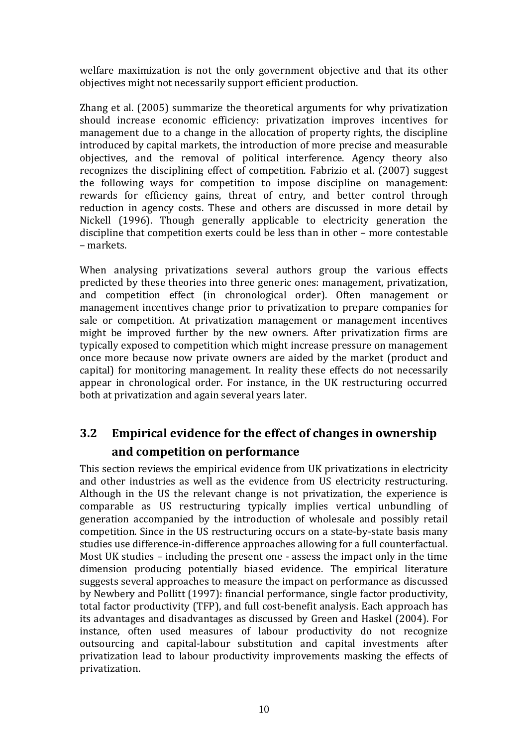welfare maximization is not the only government objective and that its other objectives might not necessarily support efficient production.

Zhang et al. (2005) summarize the theoretical arguments for why privatization should increase economic efficiency: privatization improves incentives for management due to a change in the allocation of property rights, the discipline introduced by capital markets, the introduction of more precise and measurable objectives, and the removal of political interference. Agency theory also recognizes the disciplining effect of competition. Fabrizio et al. (2007) suggest the following ways for competition to impose discipline on management: rewards for efficiency gains, threat of entry, and better control through reduction in agency costs. These and others are discussed in more detail by Nickell (1996). Though generally applicable to electricity generation the discipline that competition exerts could be less than in other – more contestable – markets.

When analysing privatizations several authors group the various effects predicted by these theories into three generic ones: management, privatization, and competition effect (in chronological order). Often management or management incentives change prior to privatization to prepare companies for sale or competition. At privatization management or management incentives might be improved further by the new owners. After privatization firms are typically exposed to competition which might increase pressure on management once more because now private owners are aided by the market (product and capital) for monitoring management. In reality these effects do not necessarily appear in chronological order. For instance, in the UK restructuring occurred both at privatization and again several years later.

# **3.2 Empirical evidence for the effect of changes in ownership and competition on performance**

This section reviews the empirical evidence from UK privatizations in electricity and other industries as well as the evidence from US electricity restructuring. Although in the US the relevant change is not privatization, the experience is comparable as US restructuring typically implies vertical unbundling of generation accompanied by the introduction of wholesale and possibly retail competition. Since in the US restructuring occurs on a state-by-state basis many studies use difference-in-difference approaches allowing for a full counterfactual. Most UK studies – including the present one - assess the impact only in the time dimension producing potentially biased evidence. The empirical literature suggests several approaches to measure the impact on performance as discussed by Newbery and Pollitt (1997): financial performance, single factor productivity, total factor productivity (TFP), and full cost-benefit analysis. Each approach has its advantages and disadvantages as discussed by Green and Haskel (2004). For instance, often used measures of labour productivity do not recognize outsourcing and capital-labour substitution and capital investments after privatization lead to labour productivity improvements masking the effects of privatization.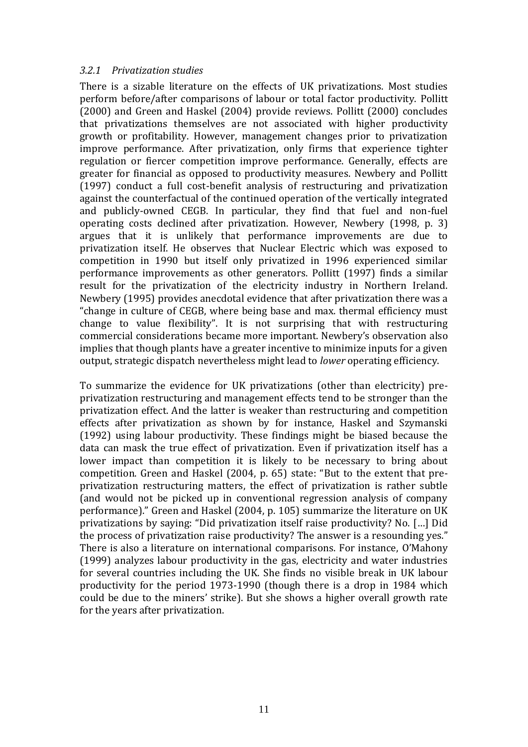#### *3.2.1 Privatization studies*

There is a sizable literature on the effects of UK privatizations. Most studies perform before/after comparisons of labour or total factor productivity. Pollitt (2000) and Green and Haskel (2004) provide reviews. Pollitt (2000) concludes that privatizations themselves are not associated with higher productivity growth or profitability. However, management changes prior to privatization improve performance. After privatization, only firms that experience tighter regulation or fiercer competition improve performance. Generally, effects are greater for financial as opposed to productivity measures. Newbery and Pollitt (1997) conduct a full cost-benefit analysis of restructuring and privatization against the counterfactual of the continued operation of the vertically integrated and publicly-owned CEGB. In particular, they find that fuel and non-fuel operating costs declined after privatization. However, Newbery (1998, p. 3) argues that it is unlikely that performance improvements are due to privatization itself. He observes that Nuclear Electric which was exposed to competition in 1990 but itself only privatized in 1996 experienced similar performance improvements as other generators. Pollitt (1997) finds a similar result for the privatization of the electricity industry in Northern Ireland. Newbery (1995) provides anecdotal evidence that after privatization there was a "change in culture of CEGB, where being base and max. thermal efficiency must change to value flexibility". It is not surprising that with restructuring commercial considerations became more important. Newbery's observation also implies that though plants have a greater incentive to minimize inputs for a given output, strategic dispatch nevertheless might lead to *lower* operating efficiency.

To summarize the evidence for UK privatizations (other than electricity) preprivatization restructuring and management effects tend to be stronger than the privatization effect. And the latter is weaker than restructuring and competition effects after privatization as shown by for instance, Haskel and Szymanski (1992) using labour productivity. These findings might be biased because the data can mask the true effect of privatization. Even if privatization itself has a lower impact than competition it is likely to be necessary to bring about competition. Green and Haskel (2004, p. 65) state: "But to the extent that preprivatization restructuring matters, the effect of privatization is rather subtle (and would not be picked up in conventional regression analysis of company performance)." Green and Haskel (2004, p. 105) summarize the literature on UK privatizations by saying: "Did privatization itself raise productivity? No. […] Did the process of privatization raise productivity? The answer is a resounding yes." There is also a literature on international comparisons. For instance, O'Mahony (1999) analyzes labour productivity in the gas, electricity and water industries for several countries including the UK. She finds no visible break in UK labour productivity for the period 1973-1990 (though there is a drop in 1984 which could be due to the miners' strike). But she shows a higher overall growth rate for the years after privatization.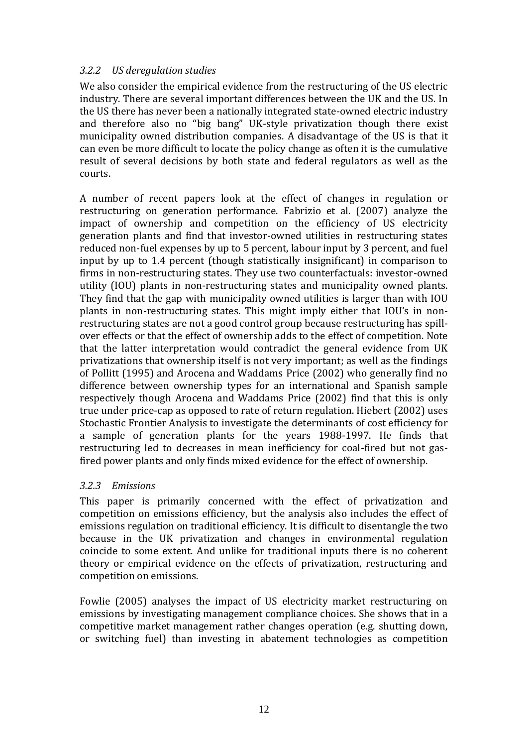#### *3.2.2 US deregulation studies*

We also consider the empirical evidence from the restructuring of the US electric industry. There are several important differences between the UK and the US. In the US there has never been a nationally integrated state-owned electric industry and therefore also no "big bang" UK-style privatization though there exist municipality owned distribution companies. A disadvantage of the US is that it can even be more difficult to locate the policy change as often it is the cumulative result of several decisions by both state and federal regulators as well as the courts.

A number of recent papers look at the effect of changes in regulation or restructuring on generation performance. Fabrizio et al. (2007) analyze the impact of ownership and competition on the efficiency of US electricity generation plants and find that investor-owned utilities in restructuring states reduced non-fuel expenses by up to 5 percent, labour input by 3 percent, and fuel input by up to 1.4 percent (though statistically insignificant) in comparison to firms in non-restructuring states. They use two counterfactuals: investor-owned utility (IOU) plants in non-restructuring states and municipality owned plants. They find that the gap with municipality owned utilities is larger than with IOU plants in non-restructuring states. This might imply either that IOU's in nonrestructuring states are not a good control group because restructuring has spillover effects or that the effect of ownership adds to the effect of competition. Note that the latter interpretation would contradict the general evidence from UK privatizations that ownership itself is not very important; as well as the findings of Pollitt (1995) and Arocena and Waddams Price (2002) who generally find no difference between ownership types for an international and Spanish sample respectively though Arocena and Waddams Price (2002) find that this is only true under price-cap as opposed to rate of return regulation. Hiebert (2002) uses Stochastic Frontier Analysis to investigate the determinants of cost efficiency for a sample of generation plants for the years 1988-1997. He finds that restructuring led to decreases in mean inefficiency for coal-fired but not gasfired power plants and only finds mixed evidence for the effect of ownership.

#### *3.2.3 Emissions*

This paper is primarily concerned with the effect of privatization and competition on emissions efficiency, but the analysis also includes the effect of emissions regulation on traditional efficiency. It is difficult to disentangle the two because in the UK privatization and changes in environmental regulation coincide to some extent. And unlike for traditional inputs there is no coherent theory or empirical evidence on the effects of privatization, restructuring and competition on emissions.

Fowlie (2005) analyses the impact of US electricity market restructuring on emissions by investigating management compliance choices. She shows that in a competitive market management rather changes operation (e.g. shutting down, or switching fuel) than investing in abatement technologies as competition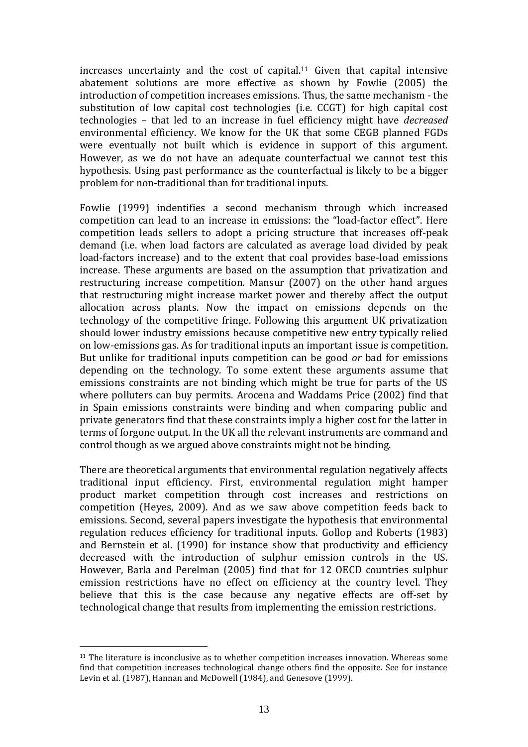increases uncertainty and the cost of capital.<sup>11</sup> Given that capital intensive abatement solutions are more effective as shown by Fowlie (2005) the introduction of competition increases emissions. Thus, the same mechanism - the substitution of low capital cost technologies (i.e. CCGT) for high capital cost technologies – that led to an increase in fuel efficiency might have *decreased* environmental efficiency. We know for the UK that some CEGB planned FGDs were eventually not built which is evidence in support of this argument. However, as we do not have an adequate counterfactual we cannot test this hypothesis. Using past performance as the counterfactual is likely to be a bigger problem for non-traditional than for traditional inputs.

Fowlie (1999) indentifies a second mechanism through which increased competition can lead to an increase in emissions: the "load-factor effect". Here competition leads sellers to adopt a pricing structure that increases off-peak demand (i.e. when load factors are calculated as average load divided by peak load-factors increase) and to the extent that coal provides base-load emissions increase. These arguments are based on the assumption that privatization and restructuring increase competition. Mansur (2007) on the other hand argues that restructuring might increase market power and thereby affect the output allocation across plants. Now the impact on emissions depends on the technology of the competitive fringe. Following this argument UK privatization should lower industry emissions because competitive new entry typically relied on low-emissions gas. As for traditional inputs an important issue is competition. But unlike for traditional inputs competition can be good *or* bad for emissions depending on the technology. To some extent these arguments assume that emissions constraints are not binding which might be true for parts of the US where polluters can buy permits. Arocena and Waddams Price (2002) find that in Spain emissions constraints were binding and when comparing public and private generators find that these constraints imply a higher cost for the latter in terms of forgone output. In the UK all the relevant instruments are command and control though as we argued above constraints might not be binding.

There are theoretical arguments that environmental regulation negatively affects traditional input efficiency. First, environmental regulation might hamper product market competition through cost increases and restrictions on competition (Heyes, 2009). And as we saw above competition feeds back to emissions. Second, several papers investigate the hypothesis that environmental regulation reduces efficiency for traditional inputs. Gollop and Roberts (1983) and Bernstein et al. (1990) for instance show that productivity and efficiency decreased with the introduction of sulphur emission controls in the US. However, Barla and Perelman (2005) find that for 12 OECD countries sulphur emission restrictions have no effect on efficiency at the country level. They believe that this is the case because any negative effects are off-set by technological change that results from implementing the emission restrictions.

1

 $11$  The literature is inconclusive as to whether competition increases innovation. Whereas some find that competition increases technological change others find the opposite. See for instance Levin et al. (1987), Hannan and McDowell (1984), and Genesove (1999).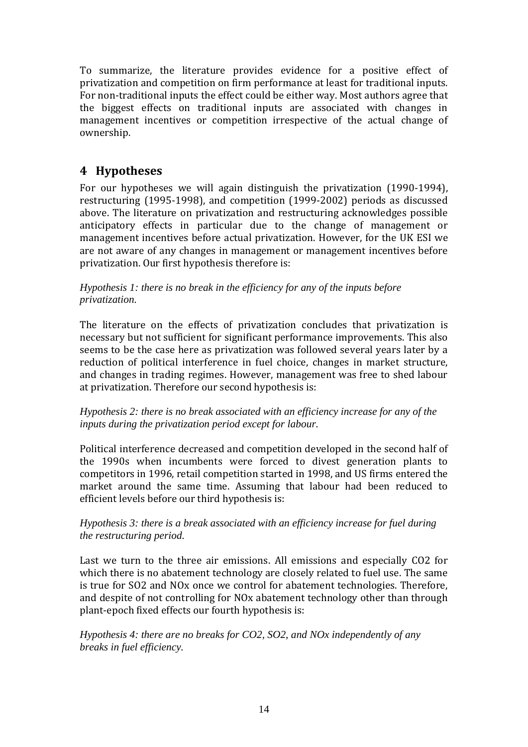To summarize, the literature provides evidence for a positive effect of privatization and competition on firm performance at least for traditional inputs. For non-traditional inputs the effect could be either way. Most authors agree that the biggest effects on traditional inputs are associated with changes in management incentives or competition irrespective of the actual change of ownership.

# **4 Hypotheses**

For our hypotheses we will again distinguish the privatization (1990-1994), restructuring (1995-1998), and competition (1999-2002) periods as discussed above. The literature on privatization and restructuring acknowledges possible anticipatory effects in particular due to the change of management or management incentives before actual privatization. However, for the UK ESI we are not aware of any changes in management or management incentives before privatization. Our first hypothesis therefore is:

#### *Hypothesis 1: there is no break in the efficiency for any of the inputs before privatization.*

The literature on the effects of privatization concludes that privatization is necessary but not sufficient for significant performance improvements. This also seems to be the case here as privatization was followed several years later by a reduction of political interference in fuel choice, changes in market structure, and changes in trading regimes. However, management was free to shed labour at privatization. Therefore our second hypothesis is:

#### *Hypothesis 2: there is no break associated with an efficiency increase for any of the inputs during the privatization period except for labour.*

Political interference decreased and competition developed in the second half of the 1990s when incumbents were forced to divest generation plants to competitors in 1996, retail competition started in 1998, and US firms entered the market around the same time. Assuming that labour had been reduced to efficient levels before our third hypothesis is:

#### *Hypothesis 3: there is a break associated with an efficiency increase for fuel during the restructuring period.*

Last we turn to the three air emissions. All emissions and especially CO2 for which there is no abatement technology are closely related to fuel use. The same is true for SO2 and NOx once we control for abatement technologies. Therefore, and despite of not controlling for NOx abatement technology other than through plant-epoch fixed effects our fourth hypothesis is:

#### *Hypothesis 4: there are no breaks for CO2, SO2, and NOx independently of any breaks in fuel efficiency.*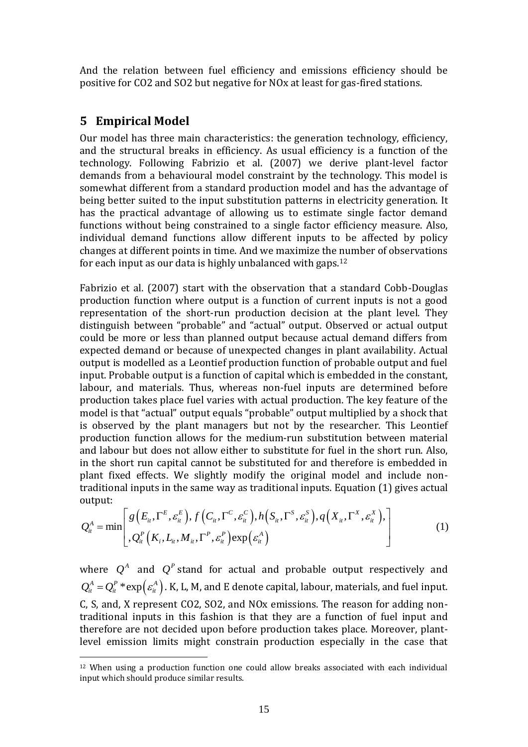And the relation between fuel efficiency and emissions efficiency should be positive for CO2 and SO2 but negative for NOx at least for gas-fired stations.

#### **5 Empirical Model**

1

Our model has three main characteristics: the generation technology, efficiency, and the structural breaks in efficiency. As usual efficiency is a function of the technology. Following Fabrizio et al. (2007) we derive plant-level factor demands from a behavioural model constraint by the technology. This model is somewhat different from a standard production model and has the advantage of being better suited to the input substitution patterns in electricity generation. It has the practical advantage of allowing us to estimate single factor demand functions without being constrained to a single factor efficiency measure. Also, individual demand functions allow different inputs to be affected by policy changes at different points in time. And we maximize the number of observations for each input as our data is highly unbalanced with gaps.<sup>12</sup>

Fabrizio et al. (2007) start with the observation that a standard Cobb-Douglas production function where output is a function of current inputs is not a good representation of the short-run production decision at the plant level. They distinguish between "probable" and "actual" output. Observed or actual output could be more or less than planned output because actual demand differs from expected demand or because of unexpected changes in plant availability. Actual output is modelled as a Leontief production function of probable output and fuel input. Probable output is a function of capital which is embedded in the constant, labour, and materials. Thus, whereas non-fuel inputs are determined before production takes place fuel varies with actual production. The key feature of the model is that "actual" output equals "probable" output multiplied by a shock that is observed by the plant managers but not by the researcher. This Leontief production function allows for the medium-run substitution between material and labour but does not allow either to substitute for fuel in the short run. Also, in the short run capital cannot be substituted for and therefore is embedded in plant fixed effects. We slightly modify the original model and include nonplant fixed effects. We slightly modify the original model and include non-<br>traditional inputs in the same way as traditional inputs. Equation (1) gives actual<br>output:<br> $Q_{\cdot}^{A} = \min \bigg[ g(E_{\mu}, \Gamma^{E}, \varepsilon_{\mu}^{E}), f(C_{\mu}, \Gamma^{C}, \varepsilon$ output: *E*,  $\varepsilon_n^E$ ,  $f(C_n, \Gamma^C, \varepsilon_n^C), h(S_n, \Gamma^S, \varepsilon_n^S), q(X_n, \Gamma^X, \varepsilon_n^X)$ 

traditional inputs in the same way as traditional inputs. Equation (1) gives actual output:  
\n
$$
Q_{it}^{A} = \min \left[ g\left(E_{it}, \Gamma^{E}, \varepsilon_{it}^{E}\right), f\left(C_{it}, \Gamma^{C}, \varepsilon_{it}^{C}\right), h\left(S_{it}, \Gamma^{S}, \varepsilon_{it}^{S}\right), q\left(X_{it}, \Gamma^{X}, \varepsilon_{it}^{X}\right), \right] \tag{1}
$$
\n
$$
Q_{it}^{A} = \min \left[ Q_{it}^{P}\left(K_{i}, L_{it}, M_{it}, \Gamma^{P}, \varepsilon_{it}^{P}\right) \exp\left(\varepsilon_{it}^{A}\right) \right]
$$

where  $Q^A$  and  $Q^P$  stand for actual and probable output respectively and  $Q^A_{it} = Q^P_{it} * \exp\left(\varepsilon^A_{it}\right)$ . K, L, M, and E denote capital, labour, materials, and fuel input. C, S, and, X represent CO2, SO2, and NOx emissions. The reason for adding nontraditional inputs in this fashion is that they are a function of fuel input and therefore are not decided upon before production takes place. Moreover, plantlevel emission limits might constrain production especially in the case that

<sup>12</sup> When using a production function one could allow breaks associated with each individual input which should produce similar results.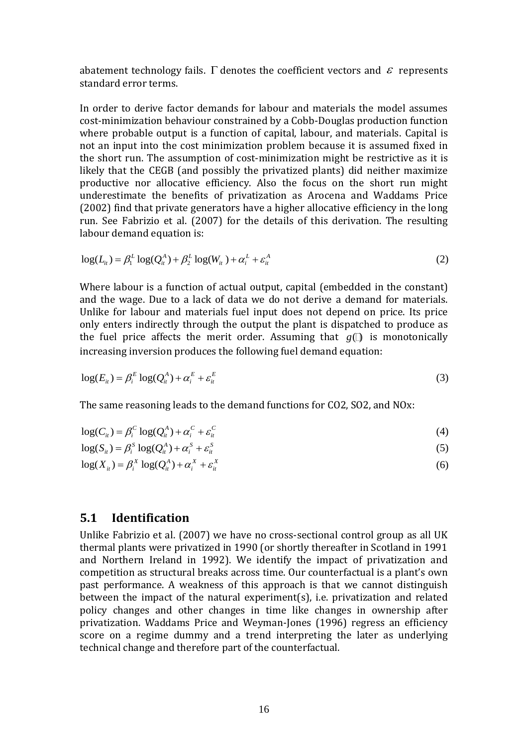abatement technology fails.  $\Gamma$  denotes the coefficient vectors and  $\varepsilon$  represents standard error terms.

In order to derive factor demands for labour and materials the model assumes cost-minimization behaviour constrained by a Cobb-Douglas production function where probable output is a function of capital, labour, and materials. Capital is not an input into the cost minimization problem because it is assumed fixed in the short run. The assumption of cost-minimization might be restrictive as it is likely that the CEGB (and possibly the privatized plants) did neither maximize productive nor allocative efficiency. Also the focus on the short run might underestimate the benefits of privatization as Arocena and Waddams Price (2002) find that private generators have a higher allocative efficiency in the long run. See Fabrizio et al. (2007) for the details of this derivation. The resulting labour demand equation is:

$$
\log(L_{it}) = \beta_1^L \log(Q_{it}^A) + \beta_2^L \log(W_{it}) + \alpha_i^L + \varepsilon_{it}^A
$$
 (2)

Where labour is a function of actual output, capital (embedded in the constant) and the wage. Due to a lack of data we do not derive a demand for materials. Unlike for labour and materials fuel input does not depend on price. Its price only enters indirectly through the output the plant is dispatched to produce as the fuel price affects the merit order. Assuming that  $g(\mathbb{D})$  is monotonically increasing inversion produces the following fuel demand equation:

$$
\log(E_{it}) = \beta_i^E \log(Q_{it}^A) + \alpha_i^E + \varepsilon_{it}^E
$$
\n(3)

The same reasoning leads to the demand functions for CO2, SO2, and NOx:

$$
\log(C_{ii}) = \beta_i^C \log(Q_{ii}^A) + \alpha_i^C + \varepsilon_{ii}^C
$$
\n(4)

$$
\log(S_{it}) = \beta_i^s \log(Q_{it}^A) + \alpha_i^s + \varepsilon_{it}^s
$$
  

$$
\log(S_{it}) = \beta_i^s \log(Q_{it}^A) + \alpha_i^s + \varepsilon_{it}^s
$$
 (5)

$$
\log(S_{ii}) - \beta_i \log(Q_{ii}) + \alpha_i + \varepsilon_{ii}
$$
  
\n
$$
\log(X_{ii}) = \beta_i^X \log(Q_{ii}^A) + \alpha_i^X + \varepsilon_{ii}^X
$$
\n(6)

#### **5.1 Identification**

Unlike Fabrizio et al. (2007) we have no cross-sectional control group as all UK thermal plants were privatized in 1990 (or shortly thereafter in Scotland in 1991 and Northern Ireland in 1992). We identify the impact of privatization and competition as structural breaks across time. Our counterfactual is a plant's own past performance. A weakness of this approach is that we cannot distinguish between the impact of the natural experiment(s), i.e. privatization and related policy changes and other changes in time like changes in ownership after privatization. Waddams Price and Weyman-Jones (1996) regress an efficiency score on a regime dummy and a trend interpreting the later as underlying technical change and therefore part of the counterfactual.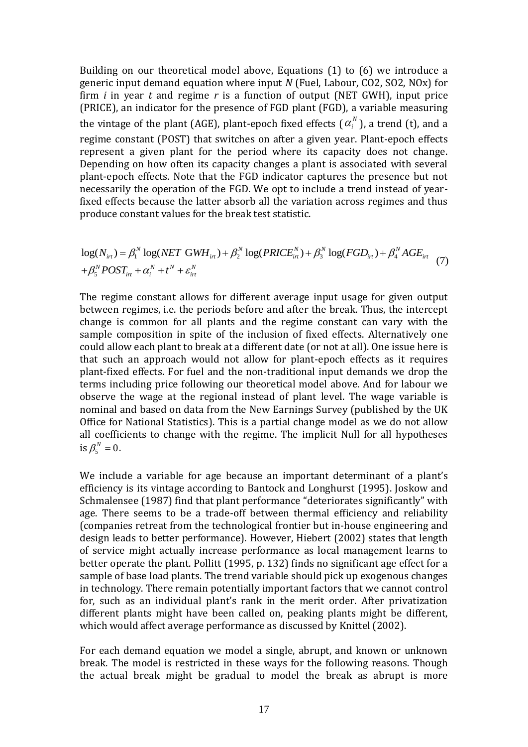Building on our theoretical model above, Equations (1) to (6) we introduce a generic input demand equation where input *N* (Fuel, Labour, CO2, SO2, NOx) for firm *i* in year *t* and regime *r* is a function of output (NET GWH), input price (PRICE), an indicator for the presence of FGD plant (FGD), a variable measuring the vintage of the plant (AGE), plant-epoch fixed effects ( $\alpha_i^N$ ), a trend (t), and a regime constant (POST) that switches on after a given year. Plant-epoch effects represent a given plant for the period where its capacity does not change. Depending on how often its capacity changes a plant is associated with several plant-epoch effects. Note that the FGD indicator captures the presence but not necessarily the operation of the FGD. We opt to include a trend instead of yearfixed effects because the latter absorb all the variation across regimes and thus

produce constant values for the break test statistic.  
\n
$$
\log(N_{ir}) = \beta_1^N \log(NET \text{ GWH}_{irt}) + \beta_2^N \log(PRICE_{irt}^N) + \beta_3^N \log(FGD_{irt}) + \beta_4^N AGE_{irt} + \beta_5^N POST_{irt} + \alpha_i^N + t^N + \varepsilon_{irt}^N
$$
\n(7)

The regime constant allows for different average input usage for given output between regimes, i.e. the periods before and after the break. Thus, the intercept change is common for all plants and the regime constant can vary with the sample composition in spite of the inclusion of fixed effects. Alternatively one could allow each plant to break at a different date (or not at all). One issue here is that such an approach would not allow for plant-epoch effects as it requires plant-fixed effects. For fuel and the non-traditional input demands we drop the terms including price following our theoretical model above. And for labour we observe the wage at the regional instead of plant level. The wage variable is nominal and based on data from the New Earnings Survey (published by the UK Office for National Statistics). This is a partial change model as we do not allow all coefficients to change with the regime. The implicit Null for all hypotheses is  $\beta_5^N=0$ .

We include a variable for age because an important determinant of a plant's efficiency is its vintage according to Bantock and Longhurst (1995). Joskow and Schmalensee (1987) find that plant performance "deteriorates significantly" with age. There seems to be a trade-off between thermal efficiency and reliability (companies retreat from the technological frontier but in-house engineering and design leads to better performance). However, Hiebert (2002) states that length of service might actually increase performance as local management learns to better operate the plant. Pollitt (1995, p. 132) finds no significant age effect for a sample of base load plants. The trend variable should pick up exogenous changes in technology. There remain potentially important factors that we cannot control for, such as an individual plant's rank in the merit order. After privatization different plants might have been called on, peaking plants might be different, which would affect average performance as discussed by Knittel (2002).

For each demand equation we model a single, abrupt, and known or unknown break. The model is restricted in these ways for the following reasons. Though the actual break might be gradual to model the break as abrupt is more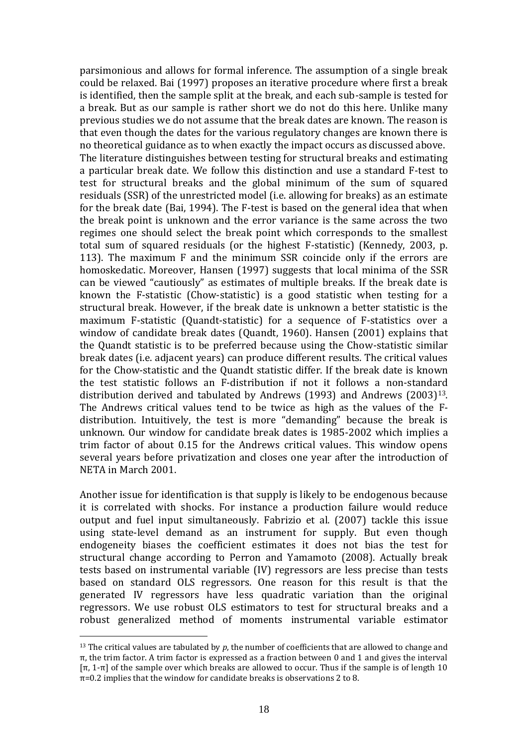parsimonious and allows for formal inference. The assumption of a single break could be relaxed. Bai (1997) proposes an iterative procedure where first a break is identified, then the sample split at the break, and each sub-sample is tested for a break. But as our sample is rather short we do not do this here. Unlike many previous studies we do not assume that the break dates are known. The reason is that even though the dates for the various regulatory changes are known there is no theoretical guidance as to when exactly the impact occurs as discussed above. The literature distinguishes between testing for structural breaks and estimating a particular break date. We follow this distinction and use a standard F-test to test for structural breaks and the global minimum of the sum of squared residuals (SSR) of the unrestricted model (i.e. allowing for breaks) as an estimate for the break date (Bai, 1994). The F-test is based on the general idea that when the break point is unknown and the error variance is the same across the two regimes one should select the break point which corresponds to the smallest total sum of squared residuals (or the highest F-statistic) (Kennedy, 2003, p. 113). The maximum F and the minimum SSR coincide only if the errors are homoskedatic. Moreover, Hansen (1997) suggests that local minima of the SSR can be viewed "cautiously" as estimates of multiple breaks. If the break date is known the F-statistic (Chow-statistic) is a good statistic when testing for a structural break. However, if the break date is unknown a better statistic is the maximum F-statistic (Quandt-statistic) for a sequence of F-statistics over a window of candidate break dates (Quandt, 1960). Hansen (2001) explains that the Quandt statistic is to be preferred because using the Chow-statistic similar break dates (i.e. adjacent years) can produce different results. The critical values for the Chow-statistic and the Quandt statistic differ. If the break date is known the test statistic follows an F-distribution if not it follows a non-standard distribution derived and tabulated by Andrews (1993) and Andrews (2003)13. The Andrews critical values tend to be twice as high as the values of the Fdistribution. Intuitively, the test is more "demanding" because the break is unknown. Our window for candidate break dates is 1985-2002 which implies a trim factor of about 0.15 for the Andrews critical values. This window opens several years before privatization and closes one year after the introduction of NETA in March 2001.

Another issue for identification is that supply is likely to be endogenous because it is correlated with shocks. For instance a production failure would reduce output and fuel input simultaneously. Fabrizio et al. (2007) tackle this issue using state-level demand as an instrument for supply. But even though endogeneity biases the coefficient estimates it does not bias the test for structural change according to Perron and Yamamoto (2008). Actually break tests based on instrumental variable (IV) regressors are less precise than tests based on standard OLS regressors. One reason for this result is that the generated IV regressors have less quadratic variation than the original regressors. We use robust OLS estimators to test for structural breaks and a robust generalized method of moments instrumental variable estimator

<u>.</u>

<sup>13</sup> The critical values are tabulated by *p*, the number of coefficients that are allowed to change and π, the trim factor. A trim factor is expressed as a fraction between 0 and 1 and gives the interval [π, 1-π] of the sample over which breaks are allowed to occur. Thus if the sample is of length 10  $\pi$ =0.2 implies that the window for candidate breaks is observations 2 to 8.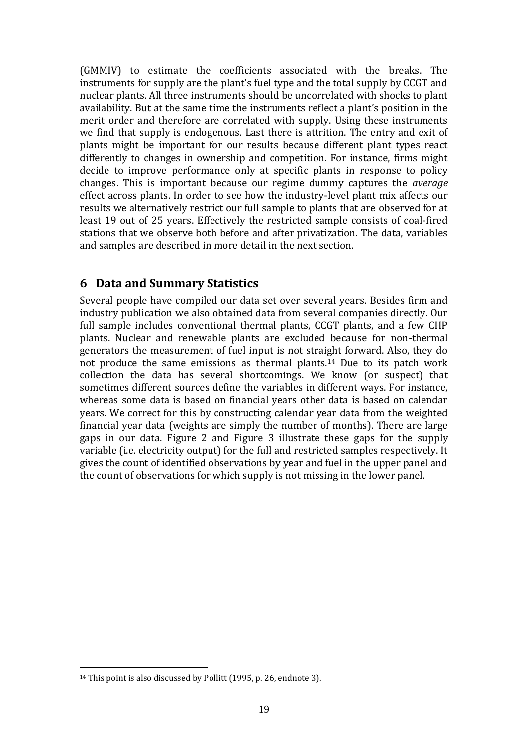(GMMIV) to estimate the coefficients associated with the breaks. The instruments for supply are the plant's fuel type and the total supply by CCGT and nuclear plants. All three instruments should be uncorrelated with shocks to plant availability. But at the same time the instruments reflect a plant's position in the merit order and therefore are correlated with supply. Using these instruments we find that supply is endogenous. Last there is attrition. The entry and exit of plants might be important for our results because different plant types react differently to changes in ownership and competition. For instance, firms might decide to improve performance only at specific plants in response to policy changes. This is important because our regime dummy captures the *average* effect across plants. In order to see how the industry-level plant mix affects our results we alternatively restrict our full sample to plants that are observed for at least 19 out of 25 years. Effectively the restricted sample consists of coal-fired stations that we observe both before and after privatization. The data, variables and samples are described in more detail in the next section.

### **6 Data and Summary Statistics**

Several people have compiled our data set over several years. Besides firm and industry publication we also obtained data from several companies directly. Our full sample includes conventional thermal plants, CCGT plants, and a few CHP plants. Nuclear and renewable plants are excluded because for non-thermal generators the measurement of fuel input is not straight forward. Also, they do not produce the same emissions as thermal plants.<sup>14</sup> Due to its patch work collection the data has several shortcomings. We know (or suspect) that sometimes different sources define the variables in different ways. For instance, whereas some data is based on financial years other data is based on calendar years. We correct for this by constructing calendar year data from the weighted financial year data (weights are simply the number of months). There are large gaps in our data. [Figure 2](#page-21-0) and [Figure 3](#page-21-1) illustrate these gaps for the supply variable (i.e. electricity output) for the full and restricted samples respectively. It gives the count of identified observations by year and fuel in the upper panel and the count of observations for which supply is not missing in the lower panel.

<u>.</u>

<sup>&</sup>lt;sup>14</sup> This point is also discussed by Pollitt (1995, p. 26, endnote 3).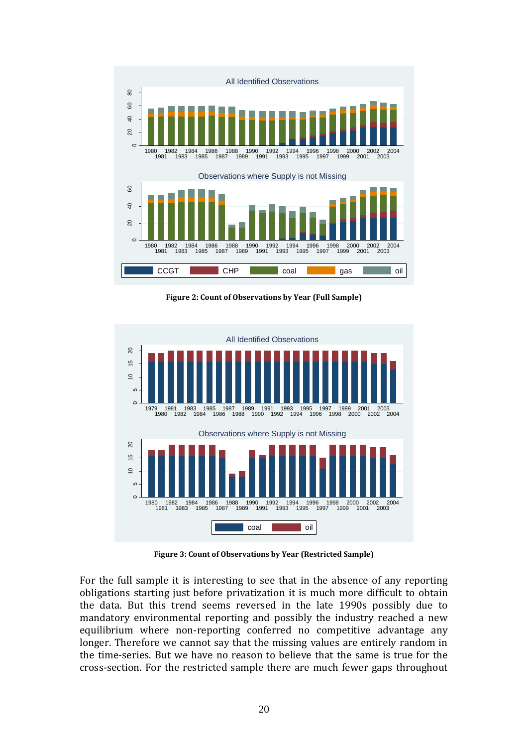

<span id="page-21-0"></span>**Figure 2: Count of Observations by Year (Full Sample)**



**Figure 3: Count of Observations by Year (Restricted Sample)**

<span id="page-21-1"></span>For the full sample it is interesting to see that in the absence of any reporting obligations starting just before privatization it is much more difficult to obtain the data. But this trend seems reversed in the late 1990s possibly due to mandatory environmental reporting and possibly the industry reached a new equilibrium where non-reporting conferred no competitive advantage any longer. Therefore we cannot say that the missing values are entirely random in the time-series. But we have no reason to believe that the same is true for the cross-section. For the restricted sample there are much fewer gaps throughout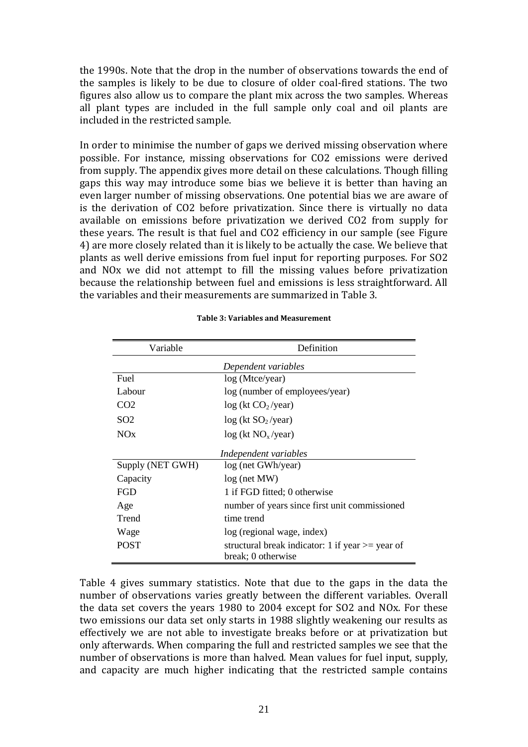the 1990s. Note that the drop in the number of observations towards the end of the samples is likely to be due to closure of older coal-fired stations. The two figures also allow us to compare the plant mix across the two samples. Whereas all plant types are included in the full sample only coal and oil plants are included in the restricted sample.

In order to minimise the number of gaps we derived missing observation where possible. For instance, missing observations for CO2 emissions were derived from supply. The appendix gives more detail on these calculations. Though filling gaps this way may introduce some bias we believe it is better than having an even larger number of missing observations. One potential bias we are aware of is the derivation of CO2 before privatization. Since there is virtually no data available on emissions before privatization we derived CO2 from supply for these years. The result is that fuel and CO2 efficiency in our sample (see [Figure](#page-24-0)  [4\)](#page-24-0) are more closely related than it is likely to be actually the case. We believe that plants as well derive emissions from fuel input for reporting purposes. For SO2 and NOx we did not attempt to fill the missing values before privatization because the relationship between fuel and emissions is less straightforward. All the variables and their measurements are summarized in [Table 3.](#page-22-0)

<span id="page-22-0"></span>

| Variable         | Definition                                                                |
|------------------|---------------------------------------------------------------------------|
|                  | Dependent variables                                                       |
| Fuel             | log (Mtce/year)                                                           |
| Labour           | log (number of employees/year)                                            |
| CO <sub>2</sub>  | log (kt CO <sub>2</sub> /year)                                            |
| SO <sub>2</sub>  | log (kt SO <sub>2</sub> /year)                                            |
| NOx              | log (kt NO <sub>x</sub> /year)                                            |
|                  | Independent variables                                                     |
| Supply (NET GWH) | log (net GWh/year)                                                        |
| Capacity         | log (net MW)                                                              |
| <b>FGD</b>       | 1 if FGD fitted; 0 otherwise                                              |
| Age              | number of years since first unit commissioned                             |
| Trend            | time trend                                                                |
| Wage             | log (regional wage, index)                                                |
| <b>POST</b>      | structural break indicator: 1 if year $\ge$ year of<br>break; 0 otherwise |

#### **Table 3: Variables and Measurement**

[Table 4](#page-23-0) gives summary statistics. Note that due to the gaps in the data the number of observations varies greatly between the different variables. Overall the data set covers the years 1980 to 2004 except for SO2 and NOx. For these two emissions our data set only starts in 1988 slightly weakening our results as effectively we are not able to investigate breaks before or at privatization but only afterwards. When comparing the full and restricted samples we see that the number of observations is more than halved. Mean values for fuel input, supply, and capacity are much higher indicating that the restricted sample contains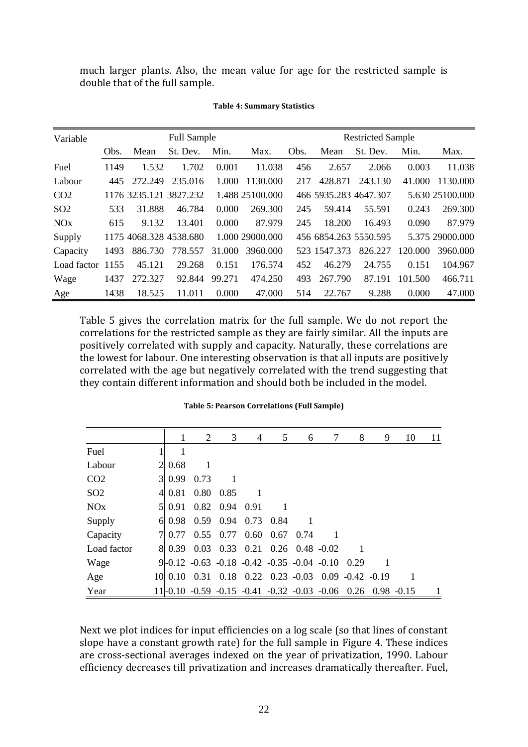much larger plants. Also, the mean value for age for the restricted sample is double that of the full sample.

<span id="page-23-0"></span>

| Variable              |      |                        | <b>Full Sample</b> |        |                 |      |              | <b>Restricted Sample</b> |         |                 |
|-----------------------|------|------------------------|--------------------|--------|-----------------|------|--------------|--------------------------|---------|-----------------|
|                       | Obs. | Mean                   | St. Dev.           | Min.   | Max.            | Obs. | Mean         | St. Dev.                 | Min.    | Max.            |
| Fuel                  | 1149 | 1.532                  | 1.702              | 0.001  | 11.038          | 456  | 2.657        | 2.066                    | 0.003   | 11.038          |
| Labour                | 445  | 272.249                | 235.016            | 1.000  | 1130.000        | 217  | 428.871      | 243.130                  | 41.000  | 1130.000        |
| CO <sub>2</sub>       |      | 1176 3235.121 3827.232 |                    |        | 1.488 25100.000 |      |              | 466 5935.283 4647.307    |         | 5.630 25100.000 |
| SO <sub>2</sub>       | 533  | 31.888                 | 46.784             | 0.000  | 269.300         | 245  | 59.414       | 55.591                   | 0.243   | 269.300         |
| <b>NO<sub>x</sub></b> | 615  | 9.132                  | 13.401             | 0.000  | 87.979          | 245  | 18.200       | 16.493                   | 0.090   | 87.979          |
| Supply                |      | 1175 4068.328 4538.680 |                    |        | 1.000 29000.000 |      |              | 456 6854.263 5550.595    |         | 5.375 29000.000 |
| Capacity              | 1493 | 886.730                | 778.557            | 31.000 | 3960.000        |      | 523 1547.373 | 826.227                  | 120.000 | 3960.000        |
| Load factor           | 1155 | 45.121                 | 29.268             | 0.151  | 176.574         | 452  | 46.279       | 24.755                   | 0.151   | 104.967         |
| Wage                  | 1437 | 272.327                | 92.844             | 99.271 | 474.250         | 493  | 267.790      | 87.191                   | 101.500 | 466.711         |
| Age                   | 1438 | 18.525                 | 11.011             | 0.000  | 47.000          | 514  | 22.767       | 9.288                    | 0.000   | 47.000          |

#### **Table 4: Summary Statistics**

[Table 5](#page-23-1) gives the correlation matrix for the full sample. We do not report the correlations for the restricted sample as they are fairly similar. All the inputs are positively correlated with supply and capacity. Naturally, these correlations are the lowest for labour. One interesting observation is that all inputs are positively correlated with the age but negatively correlated with the trend suggesting that they contain different information and should both be included in the model.

<span id="page-23-1"></span>

|                 | 1             | 2    | 3                                 | 4            | 5 | 6                                                           | 7 | 8    | 9 | 10 | 11 |
|-----------------|---------------|------|-----------------------------------|--------------|---|-------------------------------------------------------------|---|------|---|----|----|
| Fuel            | 1             |      |                                   |              |   |                                                             |   |      |   |    |    |
| Labour          | $2 \mid 0.68$ |      |                                   |              |   |                                                             |   |      |   |    |    |
| CO <sub>2</sub> | 3 0.99        | 0.73 | -1                                |              |   |                                                             |   |      |   |    |    |
| SO <sub>2</sub> | 4 0.81        |      | 0.80 0.85                         | $\mathbf{1}$ |   |                                                             |   |      |   |    |    |
| NOx             | 5 0.91        |      | $0.82$ 0.94 0.91                  |              |   |                                                             |   |      |   |    |    |
| Supply          |               |      | $6 \mid 0.98$ 0.59 0.94 0.73 0.84 |              |   |                                                             |   |      |   |    |    |
| Capacity        | 70.77         |      | $0.55$ 0.77 0.60 0.67 0.74        |              |   |                                                             | 1 |      |   |    |    |
| Load factor     |               |      |                                   |              |   | 8 0.39 0.03 0.33 0.21 0.26 0.48 -0.02                       |   |      |   |    |    |
| Wage            |               |      |                                   |              |   | $9-0.12 -0.63 -0.18 -0.42 -0.35 -0.04 -0.10$                |   | 0.29 |   |    |    |
| Age             | 10 0.10       |      |                                   |              |   | $0.31$ $0.18$ $0.22$ $0.23$ $-0.03$ $0.09$ $-0.42$ $-0.19$  |   |      |   |    |    |
| Year            |               |      |                                   |              |   | 11-0.10 -0.59 -0.15 -0.41 -0.32 -0.03 -0.06 0.26 0.98 -0.15 |   |      |   |    |    |

#### **Table 5: Pearson Correlations (Full Sample)**

Next we plot indices for input efficiencies on a log scale (so that lines of constant slope have a constant growth rate) for the full sample in [Figure 4.](#page-24-0) These indices are cross-sectional averages indexed on the year of privatization, 1990. Labour efficiency decreases till privatization and increases dramatically thereafter. Fuel,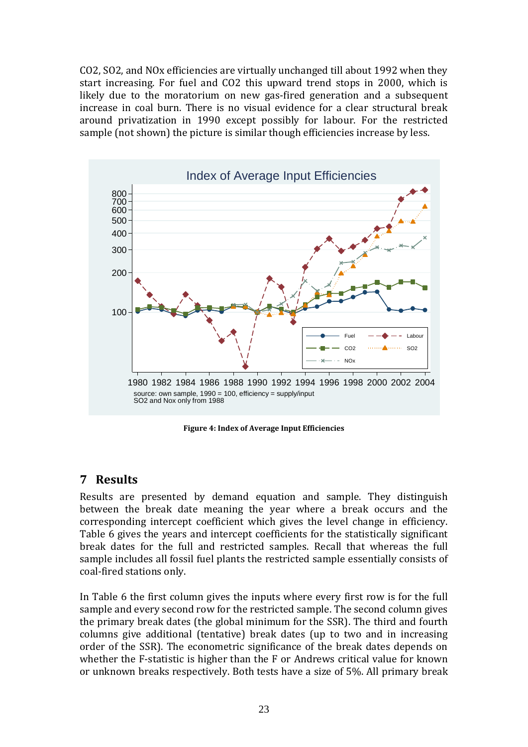CO2, SO2, and NOx efficiencies are virtually unchanged till about 1992 when they start increasing. For fuel and CO2 this upward trend stops in 2000, which is likely due to the moratorium on new gas-fired generation and a subsequent increase in coal burn. There is no visual evidence for a clear structural break around privatization in 1990 except possibly for labour. For the restricted sample (not shown) the picture is similar though efficiencies increase by less.



**Figure 4: Index of Average Input Efficiencies**

### <span id="page-24-0"></span>**7 Results**

Results are presented by demand equation and sample. They distinguish between the break date meaning the year where a break occurs and the corresponding intercept coefficient which gives the level change in efficiency. [Table 6](#page-25-0) gives the years and intercept coefficients for the statistically significant break dates for the full and restricted samples. Recall that whereas the full sample includes all fossil fuel plants the restricted sample essentially consists of coal-fired stations only.

In [Table 6](#page-25-0) the first column gives the inputs where every first row is for the full sample and every second row for the restricted sample. The second column gives the primary break dates (the global minimum for the SSR). The third and fourth columns give additional (tentative) break dates (up to two and in increasing order of the SSR). The econometric significance of the break dates depends on whether the F-statistic is higher than the F or Andrews critical value for known or unknown breaks respectively. Both tests have a size of 5%. All primary break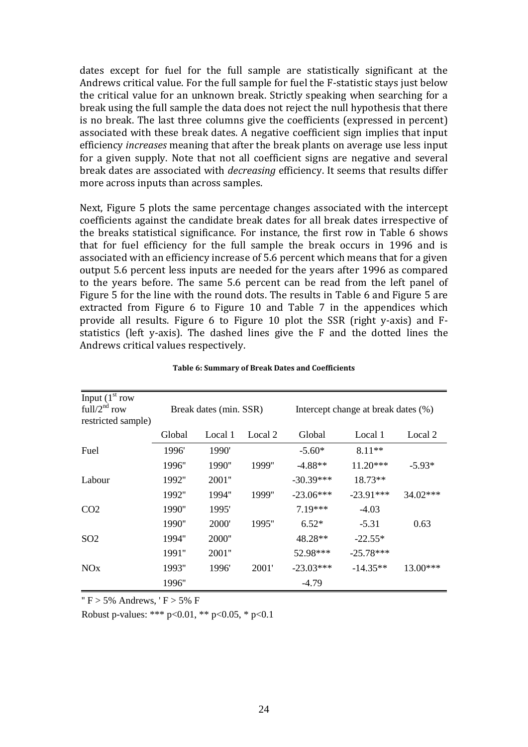dates except for fuel for the full sample are statistically significant at the Andrews critical value. For the full sample for fuel the F-statistic stays just below the critical value for an unknown break. Strictly speaking when searching for a break using the full sample the data does not reject the null hypothesis that there is no break. The last three columns give the coefficients (expressed in percent) associated with these break dates. A negative coefficient sign implies that input efficiency *increases* meaning that after the break plants on average use less input for a given supply. Note that not all coefficient signs are negative and several break dates are associated with *decreasing* efficiency. It seems that results differ more across inputs than across samples.

Next, [Figure 5](#page-26-0) plots the same percentage changes associated with the intercept coefficients against the candidate break dates for all break dates irrespective of the breaks statistical significance. For instance, the first row in [Table 6](#page-25-0) shows that for fuel efficiency for the full sample the break occurs in 1996 and is associated with an efficiency increase of 5.6 percent which means that for a given output 5.6 percent less inputs are needed for the years after 1996 as compared to the years before. The same 5.6 percent can be read from the left panel of [Figure 5](#page-26-0) for the line with the round dots. The results in [Table 6](#page-25-0) and [Figure 5](#page-26-0) are extracted from [Figure 6](#page-31-0) to [Figure 10](#page-33-0) and [Table 7](#page-34-0) in the appendices which provide all results. [Figure 6](#page-31-0) to [Figure 10](#page-33-0) plot the SSR (right y-axis) and Fstatistics (left y-axis). The dashed lines give the F and the dotted lines the Andrews critical values respectively.

<span id="page-25-0"></span>

| Input $(1st row)$<br>full/ $2nd$ row<br>restricted sample) |        | Break dates (min. SSR) |         |             | Intercept change at break dates (%) |          |
|------------------------------------------------------------|--------|------------------------|---------|-------------|-------------------------------------|----------|
|                                                            | Global | Local 1                | Local 2 | Global      | Local 1                             | Local 2  |
| Fuel                                                       | 1996'  | 1990'                  |         | $-5.60*$    | $8.11**$                            |          |
|                                                            | 1996"  | 1990"                  | 1999"   | $-4.88**$   | $11.20***$                          | $-5.93*$ |
| Labour                                                     | 1992"  | 2001"                  |         | $-30.39***$ | $18.73**$                           |          |
|                                                            | 1992"  | 1994"                  | 1999"   | $-23.06***$ | $-23.91***$                         | 34.02*** |
| CO <sub>2</sub>                                            | 1990"  | 1995'                  |         | $7.19***$   | $-4.03$                             |          |
|                                                            | 1990"  | 2000'                  | 1995"   | $6.52*$     | $-5.31$                             | 0.63     |
| SO <sub>2</sub>                                            | 1994"  | 2000"                  |         | 48.28**     | $-22.55*$                           |          |
|                                                            | 1991"  | 2001"                  |         | 52.98***    | $-25.78***$                         |          |
| <b>NO<sub>x</sub></b>                                      | 1993"  | 1996'                  | 2001'   | $-23.03***$ | $-14.35**$                          | 13.00*** |
|                                                            | 1996"  |                        |         | $-4.79$     |                                     |          |

|  | Table 6: Summary of Break Dates and Coefficients |
|--|--------------------------------------------------|
|--|--------------------------------------------------|

 $'$  F > 5% Andrews,  $'$  F > 5% F

Robust p-values: \*\*\*  $p<0.01$ , \*\*  $p<0.05$ , \*  $p<0.1$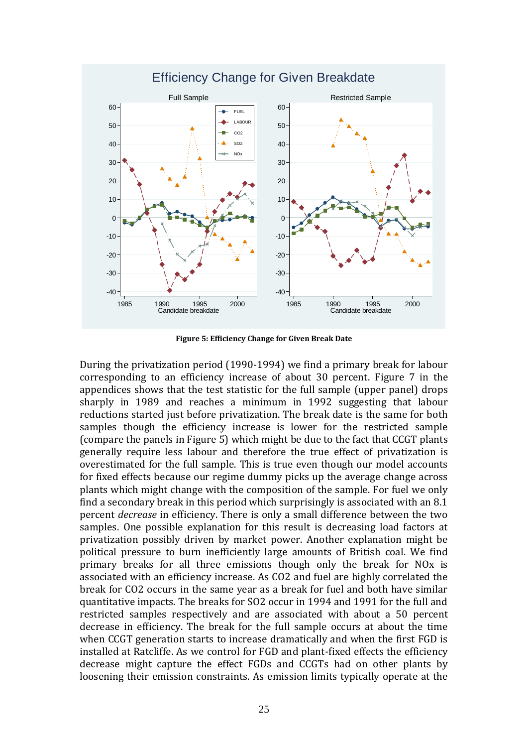

**Figure 5: Efficiency Change for Given Break Date**

<span id="page-26-0"></span>During the privatization period (1990-1994) we find a primary break for labour corresponding to an efficiency increase of about 30 percent. [Figure 7](#page-31-1) in the appendices shows that the test statistic for the full sample (upper panel) drops sharply in 1989 and reaches a minimum in 1992 suggesting that labour reductions started just before privatization. The break date is the same for both samples though the efficiency increase is lower for the restricted sample (compare the panels in [Figure 5\)](#page-26-0) which might be due to the fact that CCGT plants generally require less labour and therefore the true effect of privatization is overestimated for the full sample. This is true even though our model accounts for fixed effects because our regime dummy picks up the average change across plants which might change with the composition of the sample. For fuel we only find a secondary break in this period which surprisingly is associated with an 8.1 percent *decrease* in efficiency. There is only a small difference between the two samples. One possible explanation for this result is decreasing load factors at privatization possibly driven by market power. Another explanation might be political pressure to burn inefficiently large amounts of British coal. We find primary breaks for all three emissions though only the break for NOx is associated with an efficiency increase. As CO2 and fuel are highly correlated the break for CO2 occurs in the same year as a break for fuel and both have similar quantitative impacts. The breaks for SO2 occur in 1994 and 1991 for the full and restricted samples respectively and are associated with about a 50 percent decrease in efficiency. The break for the full sample occurs at about the time when CCGT generation starts to increase dramatically and when the first FGD is installed at Ratcliffe. As we control for FGD and plant-fixed effects the efficiency decrease might capture the effect FGDs and CCGTs had on other plants by loosening their emission constraints. As emission limits typically operate at the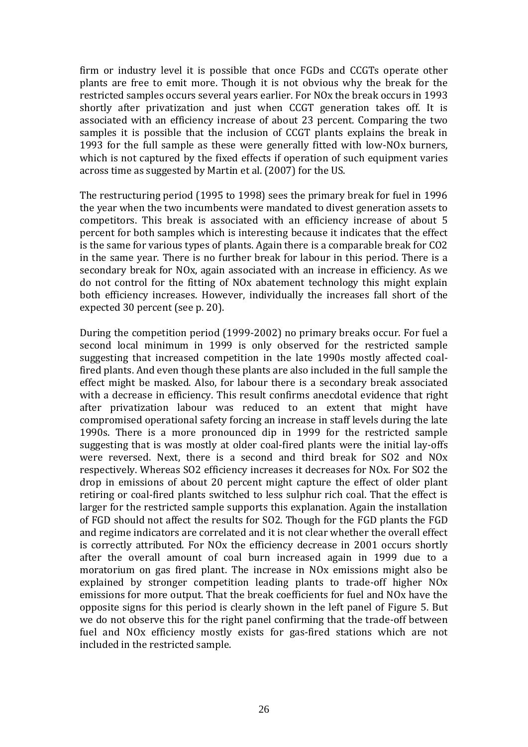firm or industry level it is possible that once FGDs and CCGTs operate other plants are free to emit more. Though it is not obvious why the break for the restricted samples occurs several years earlier. For NOx the break occurs in 1993 shortly after privatization and just when CCGT generation takes off. It is associated with an efficiency increase of about 23 percent. Comparing the two samples it is possible that the inclusion of CCGT plants explains the break in 1993 for the full sample as these were generally fitted with low-NOx burners, which is not captured by the fixed effects if operation of such equipment varies across time as suggested by Martin et al. (2007) for the US.

The restructuring period (1995 to 1998) sees the primary break for fuel in 1996 the year when the two incumbents were mandated to divest generation assets to competitors. This break is associated with an efficiency increase of about 5 percent for both samples which is interesting because it indicates that the effect is the same for various types of plants. Again there is a comparable break for CO2 in the same year. There is no further break for labour in this period. There is a secondary break for NOx, again associated with an increase in efficiency. As we do not control for the fitting of NOx abatement technology this might explain both efficiency increases. However, individually the increases fall short of the expected 30 percent (see p. 20).

During the competition period (1999-2002) no primary breaks occur. For fuel a second local minimum in 1999 is only observed for the restricted sample suggesting that increased competition in the late 1990s mostly affected coalfired plants. And even though these plants are also included in the full sample the effect might be masked. Also, for labour there is a secondary break associated with a decrease in efficiency. This result confirms anecdotal evidence that right after privatization labour was reduced to an extent that might have compromised operational safety forcing an increase in staff levels during the late 1990s. There is a more pronounced dip in 1999 for the restricted sample suggesting that is was mostly at older coal-fired plants were the initial lay-offs were reversed. Next, there is a second and third break for SO2 and NOx respectively. Whereas SO2 efficiency increases it decreases for NOx. For SO2 the drop in emissions of about 20 percent might capture the effect of older plant retiring or coal-fired plants switched to less sulphur rich coal. That the effect is larger for the restricted sample supports this explanation. Again the installation of FGD should not affect the results for SO2. Though for the FGD plants the FGD and regime indicators are correlated and it is not clear whether the overall effect is correctly attributed. For NOx the efficiency decrease in 2001 occurs shortly after the overall amount of coal burn increased again in 1999 due to a moratorium on gas fired plant. The increase in NOx emissions might also be explained by stronger competition leading plants to trade-off higher NOx emissions for more output. That the break coefficients for fuel and NOx have the opposite signs for this period is clearly shown in the left panel of [Figure 5.](#page-26-0) But we do not observe this for the right panel confirming that the trade-off between fuel and NOx efficiency mostly exists for gas-fired stations which are not included in the restricted sample.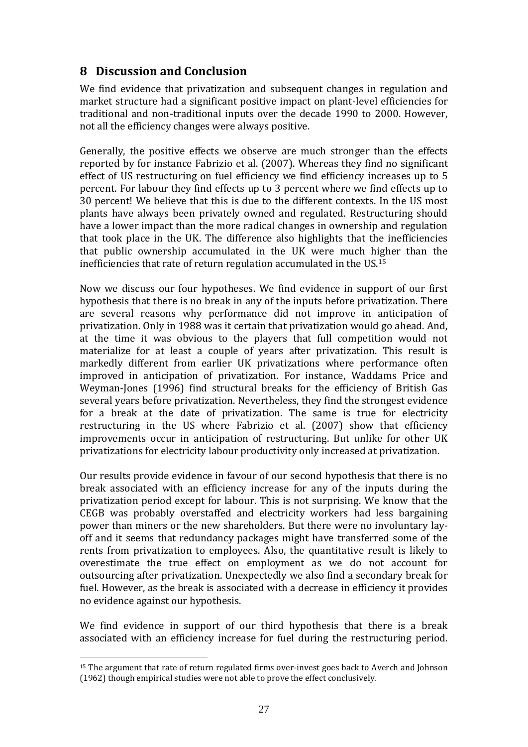## **8 Discussion and Conclusion**

We find evidence that privatization and subsequent changes in regulation and market structure had a significant positive impact on plant-level efficiencies for traditional and non-traditional inputs over the decade 1990 to 2000. However, not all the efficiency changes were always positive.

Generally, the positive effects we observe are much stronger than the effects reported by for instance Fabrizio et al. (2007). Whereas they find no significant effect of US restructuring on fuel efficiency we find efficiency increases up to 5 percent. For labour they find effects up to 3 percent where we find effects up to 30 percent! We believe that this is due to the different contexts. In the US most plants have always been privately owned and regulated. Restructuring should have a lower impact than the more radical changes in ownership and regulation that took place in the UK. The difference also highlights that the inefficiencies that public ownership accumulated in the UK were much higher than the inefficiencies that rate of return regulation accumulated in the US.<sup>15</sup>

Now we discuss our four hypotheses. We find evidence in support of our first hypothesis that there is no break in any of the inputs before privatization. There are several reasons why performance did not improve in anticipation of privatization. Only in 1988 was it certain that privatization would go ahead. And, at the time it was obvious to the players that full competition would not materialize for at least a couple of years after privatization. This result is markedly different from earlier UK privatizations where performance often improved in anticipation of privatization. For instance, Waddams Price and Weyman-Jones (1996) find structural breaks for the efficiency of British Gas several years before privatization. Nevertheless, they find the strongest evidence for a break at the date of privatization. The same is true for electricity restructuring in the US where Fabrizio et al. (2007) show that efficiency improvements occur in anticipation of restructuring. But unlike for other UK privatizations for electricity labour productivity only increased at privatization.

Our results provide evidence in favour of our second hypothesis that there is no break associated with an efficiency increase for any of the inputs during the privatization period except for labour. This is not surprising. We know that the CEGB was probably overstaffed and electricity workers had less bargaining power than miners or the new shareholders. But there were no involuntary layoff and it seems that redundancy packages might have transferred some of the rents from privatization to employees. Also, the quantitative result is likely to overestimate the true effect on employment as we do not account for outsourcing after privatization. Unexpectedly we also find a secondary break for fuel. However, as the break is associated with a decrease in efficiency it provides no evidence against our hypothesis.

We find evidence in support of our third hypothesis that there is a break associated with an efficiency increase for fuel during the restructuring period.

1

<sup>&</sup>lt;sup>15</sup> The argument that rate of return regulated firms over-invest goes back to Averch and Johnson (1962) though empirical studies were not able to prove the effect conclusively.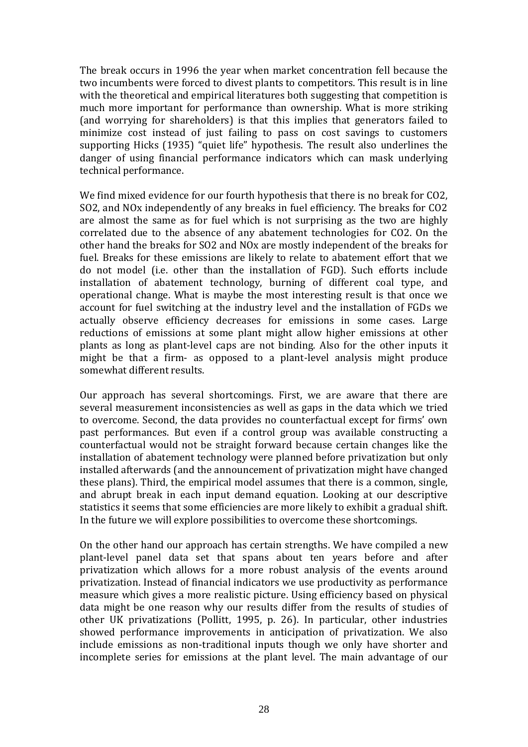The break occurs in 1996 the year when market concentration fell because the two incumbents were forced to divest plants to competitors. This result is in line with the theoretical and empirical literatures both suggesting that competition is much more important for performance than ownership. What is more striking (and worrying for shareholders) is that this implies that generators failed to minimize cost instead of just failing to pass on cost savings to customers supporting Hicks (1935) "quiet life" hypothesis. The result also underlines the danger of using financial performance indicators which can mask underlying technical performance.

We find mixed evidence for our fourth hypothesis that there is no break for CO2, SO2, and NOx independently of any breaks in fuel efficiency. The breaks for CO2 are almost the same as for fuel which is not surprising as the two are highly correlated due to the absence of any abatement technologies for CO2. On the other hand the breaks for SO2 and NOx are mostly independent of the breaks for fuel. Breaks for these emissions are likely to relate to abatement effort that we do not model (i.e. other than the installation of FGD). Such efforts include installation of abatement technology, burning of different coal type, and operational change. What is maybe the most interesting result is that once we account for fuel switching at the industry level and the installation of FGDs we actually observe efficiency decreases for emissions in some cases. Large reductions of emissions at some plant might allow higher emissions at other plants as long as plant-level caps are not binding. Also for the other inputs it might be that a firm- as opposed to a plant-level analysis might produce somewhat different results.

Our approach has several shortcomings. First, we are aware that there are several measurement inconsistencies as well as gaps in the data which we tried to overcome. Second, the data provides no counterfactual except for firms' own past performances. But even if a control group was available constructing a counterfactual would not be straight forward because certain changes like the installation of abatement technology were planned before privatization but only installed afterwards (and the announcement of privatization might have changed these plans). Third, the empirical model assumes that there is a common, single, and abrupt break in each input demand equation. Looking at our descriptive statistics it seems that some efficiencies are more likely to exhibit a gradual shift. In the future we will explore possibilities to overcome these shortcomings.

On the other hand our approach has certain strengths. We have compiled a new plant-level panel data set that spans about ten years before and after privatization which allows for a more robust analysis of the events around privatization. Instead of financial indicators we use productivity as performance measure which gives a more realistic picture. Using efficiency based on physical data might be one reason why our results differ from the results of studies of other UK privatizations (Pollitt, 1995, p. 26). In particular, other industries showed performance improvements in anticipation of privatization. We also include emissions as non-traditional inputs though we only have shorter and incomplete series for emissions at the plant level. The main advantage of our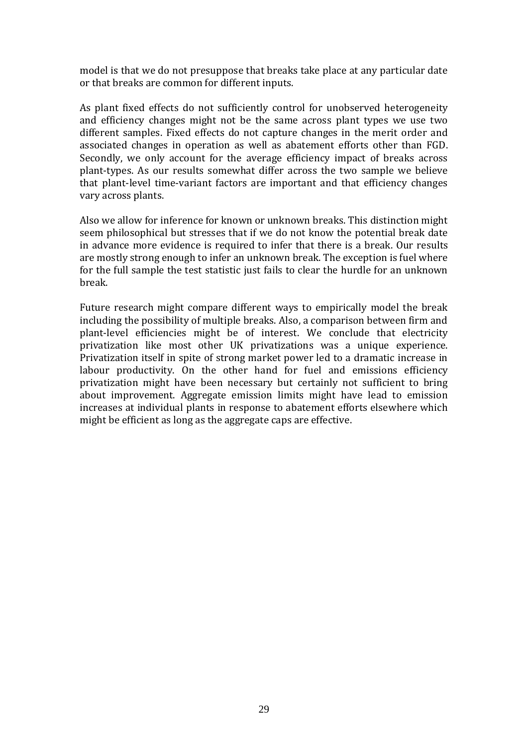model is that we do not presuppose that breaks take place at any particular date or that breaks are common for different inputs.

As plant fixed effects do not sufficiently control for unobserved heterogeneity and efficiency changes might not be the same across plant types we use two different samples. Fixed effects do not capture changes in the merit order and associated changes in operation as well as abatement efforts other than FGD. Secondly, we only account for the average efficiency impact of breaks across plant-types. As our results somewhat differ across the two sample we believe that plant-level time-variant factors are important and that efficiency changes vary across plants.

Also we allow for inference for known or unknown breaks. This distinction might seem philosophical but stresses that if we do not know the potential break date in advance more evidence is required to infer that there is a break. Our results are mostly strong enough to infer an unknown break. The exception is fuel where for the full sample the test statistic just fails to clear the hurdle for an unknown break.

Future research might compare different ways to empirically model the break including the possibility of multiple breaks. Also, a comparison between firm and plant-level efficiencies might be of interest. We conclude that electricity privatization like most other UK privatizations was a unique experience. Privatization itself in spite of strong market power led to a dramatic increase in labour productivity. On the other hand for fuel and emissions efficiency privatization might have been necessary but certainly not sufficient to bring about improvement. Aggregate emission limits might have lead to emission increases at individual plants in response to abatement efforts elsewhere which might be efficient as long as the aggregate caps are effective.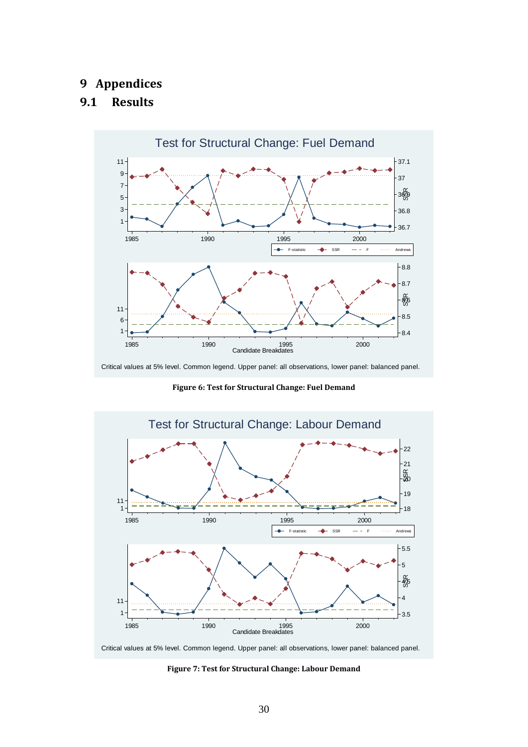# **9 Appendices**

#### **9.1 Results**



Critical values at 5% level. Common legend. Upper panel: all observations, lower panel: balanced panel.

**Figure 6: Test for Structural Change: Fuel Demand**

<span id="page-31-0"></span>

<span id="page-31-1"></span>Critical values at 5% level. Common legend. Upper panel: all observations, lower panel: balanced panel.

**Figure 7: Test for Structural Change: Labour Demand**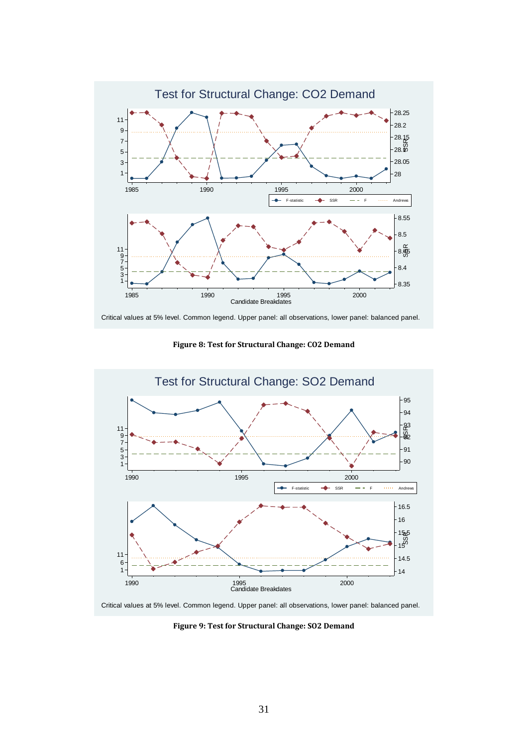

Critical values at 5% level. Common legend. Upper panel: all observations, lower panel: balanced panel.

**Figure 8: Test for Structural Change: CO2 Demand**



Critical values at 5% level. Common legend. Upper panel: all observations, lower panel: balanced panel.

**Figure 9: Test for Structural Change: SO2 Demand**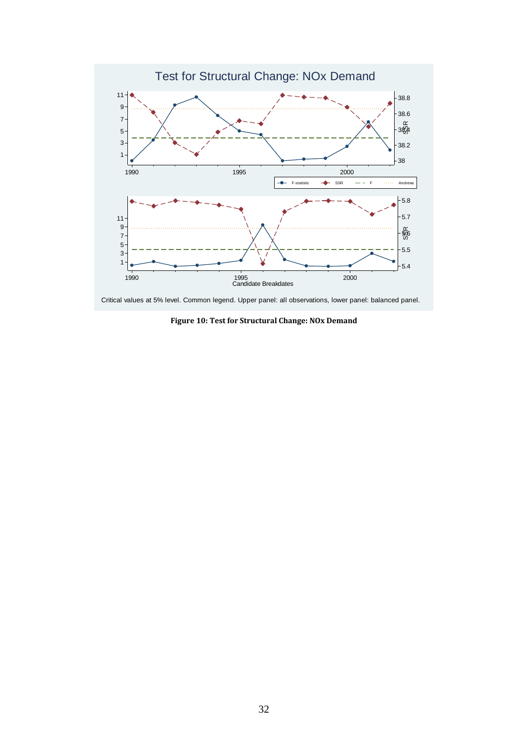

<span id="page-33-0"></span>Critical values at 5% level. Common legend. Upper panel: all observations, lower panel: balanced panel.

**Figure 10: Test for Structural Change: NOx Demand**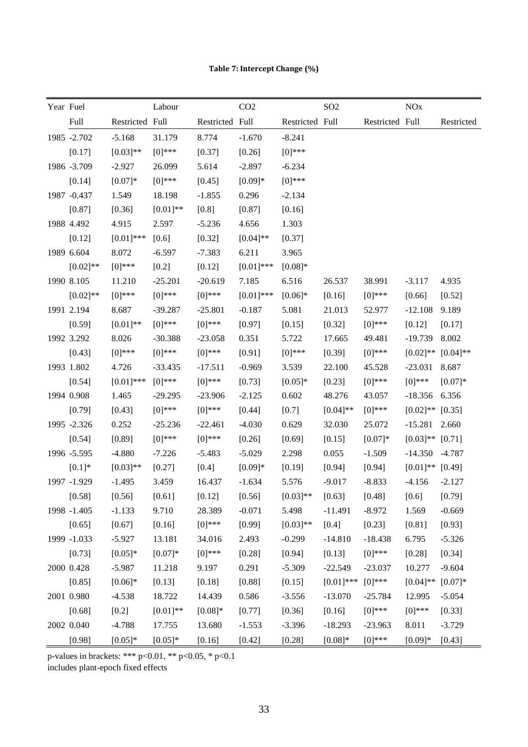|  |  | Table 7: Intercept Change (%) |  |
|--|--|-------------------------------|--|
|--|--|-------------------------------|--|

<span id="page-34-0"></span>

| Year Fuel |             |                 | Labour     |                 | CO <sub>2</sub> |                 | SO <sub>2</sub> |                 | NOx                  |             |
|-----------|-------------|-----------------|------------|-----------------|-----------------|-----------------|-----------------|-----------------|----------------------|-------------|
|           | Full        | Restricted Full |            | Restricted Full |                 | Restricted Full |                 | Restricted Full |                      | Restricted  |
|           | 1985 -2.702 | $-5.168$        | 31.179     | 8.774           | $-1.670$        | $-8.241$        |                 |                 |                      |             |
|           | [0.17]      | $[0.03]$ **     | $[0]$ ***  | [0.37]          | [0.26]          | $[0]$ ***       |                 |                 |                      |             |
|           | 1986 -3.709 | $-2.927$        | 26.099     | 5.614           | $-2.897$        | $-6.234$        |                 |                 |                      |             |
|           | [0.14]      | $[0.07]*$       | $[0]$ ***  | [0.45]          | $[0.09]*$       | $[0]$ ***       |                 |                 |                      |             |
|           | 1987 -0.437 | 1.549           | 18.198     | $-1.855$        | 0.296           | $-2.134$        |                 |                 |                      |             |
|           | [0.87]      | [0.36]          | $[0.01]**$ | $[0.8]$         | [0.87]          | [0.16]          |                 |                 |                      |             |
|           | 1988 4.492  | 4.915           | 2.597      | $-5.236$        | 4.656           | 1.303           |                 |                 |                      |             |
|           | [0.12]      | $[0.01]$ ***    | $[0.6]$    | [0.32]          | $[0.04]$ **     | [0.37]          |                 |                 |                      |             |
|           | 1989 6.604  | 8.072           | $-6.597$   | $-7.383$        | 6.211           | 3.965           |                 |                 |                      |             |
|           | $[0.02]**$  | $[0]$ ***       | $[0.2]$    | [0.12]          | $[0.01]$ ***    | $[0.08]*$       |                 |                 |                      |             |
|           | 1990 8.105  | 11.210          | $-25.201$  | $-20.619$       | 7.185           | 6.516           | 26.537          | 38.991          | $-3.117$             | 4.935       |
|           | $[0.02]**$  | $[0]$ ***       | $[0]$ ***  | $[0]$ ***       | $[0.01]$ ***    | $[0.06]*$       | [0.16]          | $[0]$ ***       | [0.66]               | [0.52]      |
|           | 1991 2.194  | 8.687           | $-39.287$  | $-25.801$       | $-0.187$        | 5.081           | 21.013          | 52.977          | $-12.108$            | 9.189       |
|           | [0.59]      | $[0.01]$ **     | $[0]$ ***  | $[0]$ ***       | [0.97]          | [0.15]          | [0.32]          | $[0]$ ***       | [0.12]               | [0.17]      |
|           | 1992 3.292  | 8.026           | $-30.388$  | $-23.058$       | 0.351           | 5.722           | 17.665          | 49.481          | $-19.739$            | 8.002       |
|           | [0.43]      | $[0]$ ***       | $[0]$ ***  | $[0]$ ***       | [0.91]          | $[0]^{***}$     | [0.39]          | $[0]$ ***       | $[0.02]$ **          | $[0.04]$ ** |
|           | 1993 1.802  | 4.726           | $-33.435$  | $-17.511$       | $-0.969$        | 3.539           | 22.100          | 45.528          | $-23.031$            | 8.687       |
|           | [0.54]      | $[0.01]$ ***    | $[0]$ ***  | $[0]$ ***       | [0.73]          | $[0.05]*$       | [0.23]          | $[0]$ ***       | $[0]$ ***            | $[0.07]*$   |
|           | 1994 0.908  | 1.465           | $-29.295$  | $-23.906$       | $-2.125$        | 0.602           | 48.276          | 43.057          | $-18.356$            | 6.356       |
|           | [0.79]      | [0.43]          | $[0]$ ***  | $[0]$ ***       | [0.44]          | $[0.7]$         | $[0.04]**$      | $[0]$ ***       | $[0.02]^{**}$ [0.35] |             |
|           | 1995 -2.326 | 0.252           | $-25.236$  | $-22.461$       | $-4.030$        | 0.629           | 32.030          | 25.072          | $-15.281$            | 2.660       |
|           | [0.54]      | [0.89]          | $[0]$ ***  | $[0]$ ***       | [0.26]          | [0.69]          | [0.15]          | $[0.07]*$       | $[0.03]^{**}$ [0.71] |             |
|           | 1996 -5.595 | $-4.880$        | $-7.226$   | $-5.483$        | $-5.029$        | 2.298           | 0.055           | $-1.509$        | $-14.350$            | $-4.787$    |
|           | $[0.1]*$    | $[0.03]$ **     | [0.27]     | $[0.4]$         | $[0.09]*$       | [0.19]          | [0.94]          | [0.94]          | $[0.01]$ ** $[0.49]$ |             |
|           | 1997 -1.929 | $-1.495$        | 3.459      | 16.437          | $-1.634$        | 5.576           | $-9.017$        | $-8.833$        | $-4.156$             | $-2.127$    |
|           | [0.58]      | [0.56]          | [0.61]     | $[0.12]$        | [0.56]          | $[0.03]**$      | [0.63]          | [0.48]          | $[0.6]$              | [0.79]      |
|           | 1998 -1.405 | $-1.133$        | 9.710      | 28.389          | $-0.071$        | 5.498           | $-11.491$       | $-8.972$        | 1.569                | $-0.669$    |
|           | [0.65]      | [0.67]          | [0.16]     | $[0]$ ***       | [0.99]          | $[0.03]**$      | $[0.4]$         | [0.23]          | [0.81]               | [0.93]      |
|           | 1999 -1.033 | $-5.927$        | 13.181     | 34.016          | 2.493           | $-0.299$        | $-14.810$       | $-18.438$       | 6.795                | $-5.326$    |
|           | [0.73]      | $[0.05]*$       | $[0.07]*$  | $[0]$ ***       | [0.28]          | [0.94]          | [0.13]          | $[0]$ ***       | [0.28]               | [0.34]      |
|           | 2000 0.428  | $-5.987$        | 11.218     | 9.197           | 0.291           | $-5.309$        | $-22.549$       | $-23.037$       | 10.277               | $-9.604$    |
|           | [0.85]      | $[0.06]*$       | [0.13]     | [0.18]          | [0.88]          | [0.15]          | $[0.01]$ ***    | $[0]$ ***       | $[0.04]$ **          | $[0.07]*$   |
|           | 2001 0.980  | $-4.538$        | 18.722     | 14.439          | 0.586           | $-3.556$        | $-13.070$       | $-25.784$       | 12.995               | $-5.054$    |
|           | [0.68]      | $[0.2]$         | $[0.01]**$ | $[0.08]*$       | [0.77]          | [0.36]          | [0.16]          | $[0]$ ***       | $[0]$ ***            | [0.33]      |
|           | 2002 0.040  | $-4.788$        | 17.755     | 13.680          | $-1.553$        | $-3.396$        | $-18.293$       | $-23.963$       | 8.011                | $-3.729$    |
|           | [0.98]      | $[0.05]*$       | $[0.05]*$  | [0.16]          | [0.42]          | [0.28]          | $[0.08]*$       | $[0]$ ***       | $[0.09]*$            | [0.43]      |

p-values in brackets: \*\*\* p<0.01, \*\* p<0.05, \* p<0.1

includes plant-epoch fixed effects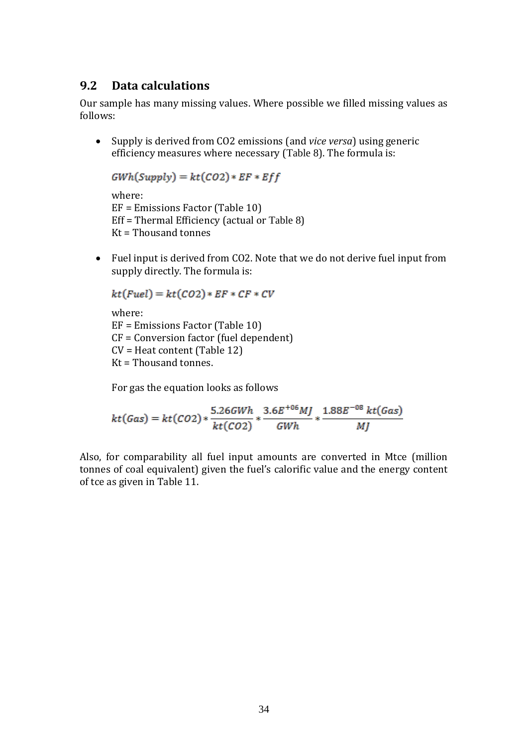### **9.2 Data calculations**

Our sample has many missing values. Where possible we filled missing values as follows:

 Supply is derived from CO2 emissions (and *vice versa*) using generic efficiency measures where necessary ([Table 8](#page-36-0)). The formula is:

 $GWh(Supply) = kt(CO2) * EF * Eff$ 

where: EF = Emissions Factor [\(Table 10\)](#page-36-1) Eff = Thermal Efficiency (actual or [Table 8](#page-36-0)) Kt = Thousand tonnes

 Fuel input is derived from CO2. Note that we do not derive fuel input from supply directly. The formula is:

```
kt(Fuel) = kt(CO2) * EF * CF * CVwhere:
EF = Emissions Factor (Table 10)
CF = Conversion factor (fuel dependent)
CV = Heat content (Table 12)
Kt = Thousand tonnes.
```
For gas the equation looks as follows

$$
kt(Gas) = kt(CO2)*\frac{5.26GWh}{kt(CO2)}* \frac{3.6E^{+06}MJ}{GWh} * \frac{1.88E^{-08} kt(Gas)}{MJ}
$$

Also, for comparability all fuel input amounts are converted in Mtce (million tonnes of coal equivalent) given the fuel's calorific value and the energy content of tce as given in [Table 11.](#page-37-1)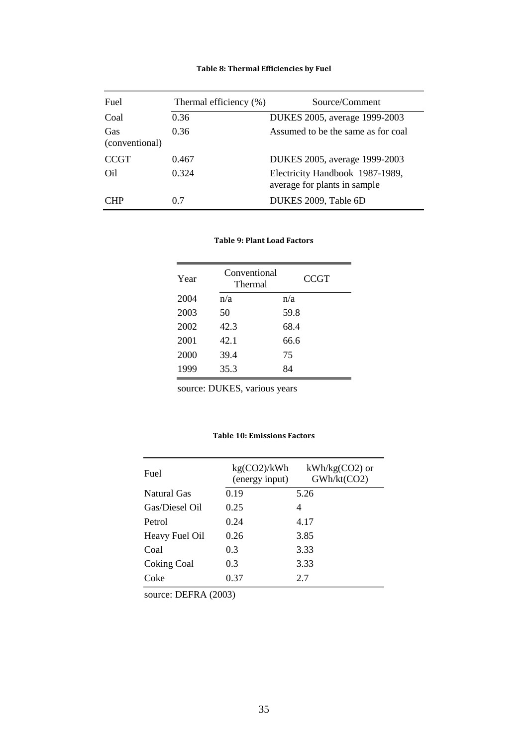#### **Table 8: Thermal Efficiencies by Fuel**

<span id="page-36-0"></span>

| Fuel                  | Thermal efficiency (%) | Source/Comment                                                  |
|-----------------------|------------------------|-----------------------------------------------------------------|
| Coal                  | 0.36                   | DUKES 2005, average 1999-2003                                   |
| Gas<br>(conventional) | 0.36                   | Assumed to be the same as for coal                              |
| <b>CCGT</b>           | 0.467                  | DUKES 2005, average 1999-2003                                   |
| Oil                   | 0.324                  | Electricity Handbook 1987-1989,<br>average for plants in sample |
| CHP                   | 0.7                    | DUKES 2009, Table 6D                                            |

#### **Table 9: Plant Load Factors**

| Year | Conventional<br>Thermal | <b>CCGT</b> |
|------|-------------------------|-------------|
| 2004 | n/a                     | n/a         |
| 2003 | 50                      | 59.8        |
| 2002 | 42.3                    | 68.4        |
| 2001 | 42.1                    | 66.6        |
| 2000 | 39.4                    | 75          |
| 1999 | 35.3                    | 84          |
|      |                         |             |

source: DUKES, various years

#### **Table 10: Emissions Factors**

<span id="page-36-1"></span>

| Fuel           | kg(CO2)/kWh<br>(energy input) | $kWh/kg(CO2)$ or<br>GWh/kt(CO2) |
|----------------|-------------------------------|---------------------------------|
| Natural Gas    | 0.19                          | 5.26                            |
| Gas/Diesel Oil | 0.25                          | 4                               |
| Petrol         | 0.24                          | 4.17                            |
| Heavy Fuel Oil | 0.26                          | 3.85                            |
| Coal           | 0.3                           | 3.33                            |
| Coking Coal    | 0.3                           | 3.33                            |
| Coke           | 0.37                          | 2.7                             |

source: DEFRA (2003)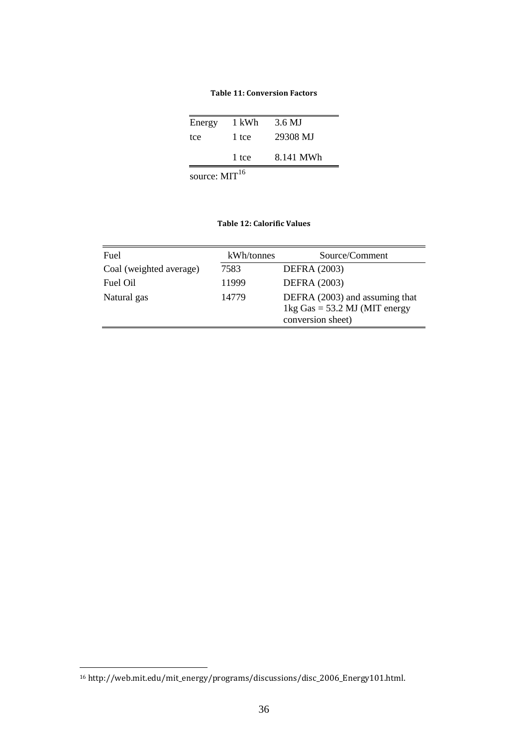<span id="page-37-1"></span>

| Energy                    | 1 kWh | 3.6 MJ    |
|---------------------------|-------|-----------|
| tce                       | 1 tce | 29308 MJ  |
|                           | 1 tce | 8.141 MWh |
| source: MIT <sup>16</sup> |       |           |

**Table 11: Conversion Factors**

#### **Table 12: Calorific Values**

<span id="page-37-0"></span>

| Fuel                    | kWh/tonnes | Source/Comment                                                                         |
|-------------------------|------------|----------------------------------------------------------------------------------------|
| Coal (weighted average) | 7583       | <b>DEFRA</b> (2003)                                                                    |
| Fuel Oil                | 11999      | <b>DEFRA</b> (2003)                                                                    |
| Natural gas             | 14779      | DEFRA (2003) and assuming that<br>1kg Gas = $53.2$ MJ (MIT energy<br>conversion sheet) |

<u>.</u>

<sup>16</sup> http://web.mit.edu/mit\_energy/programs/discussions/disc\_2006\_Energy101.html.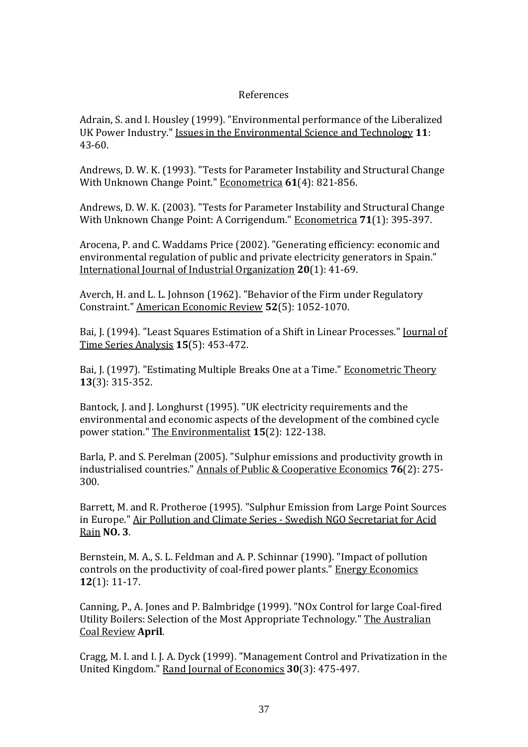#### References

Adrain, S. and I. Housley (1999). "Environmental performance of the Liberalized UK Power Industry." Issues in the Environmental Science and Technology **11**: 43-60.

Andrews, D. W. K. (1993). "Tests for Parameter Instability and Structural Change With Unknown Change Point." Econometrica **61**(4): 821-856.

Andrews, D. W. K. (2003). "Tests for Parameter Instability and Structural Change With Unknown Change Point: A Corrigendum." Econometrica **71**(1): 395-397.

Arocena, P. and C. Waddams Price (2002). "Generating efficiency: economic and environmental regulation of public and private electricity generators in Spain." International Journal of Industrial Organization **20**(1): 41-69.

Averch, H. and L. L. Johnson (1962). "Behavior of the Firm under Regulatory Constraint." American Economic Review **52**(5): 1052-1070.

Bai, J. (1994). "Least Squares Estimation of a Shift in Linear Processes." Journal of Time Series Analysis **15**(5): 453-472.

Bai, J. (1997). "Estimating Multiple Breaks One at a Time." Econometric Theory **13**(3): 315-352.

Bantock, J. and J. Longhurst (1995). "UK electricity requirements and the environmental and economic aspects of the development of the combined cycle power station." The Environmentalist **15**(2): 122-138.

Barla, P. and S. Perelman (2005). "Sulphur emissions and productivity growth in industrialised countries." Annals of Public & Cooperative Economics **76**(2): 275- 300.

Barrett, M. and R. Protheroe (1995). "Sulphur Emission from Large Point Sources in Europe." Air Pollution and Climate Series - Swedish NGO Secretariat for Acid Rain **NO. 3**.

Bernstein, M. A., S. L. Feldman and A. P. Schinnar (1990). "Impact of pollution controls on the productivity of coal-fired power plants." Energy Economics **12**(1): 11-17.

Canning, P., A. Jones and P. Balmbridge (1999). "NOx Control for large Coal-fired Utility Boilers: Selection of the Most Appropriate Technology." The Australian Coal Review **April**.

Cragg, M. I. and I. J. A. Dyck (1999). "Management Control and Privatization in the United Kingdom." Rand Journal of Economics **30**(3): 475-497.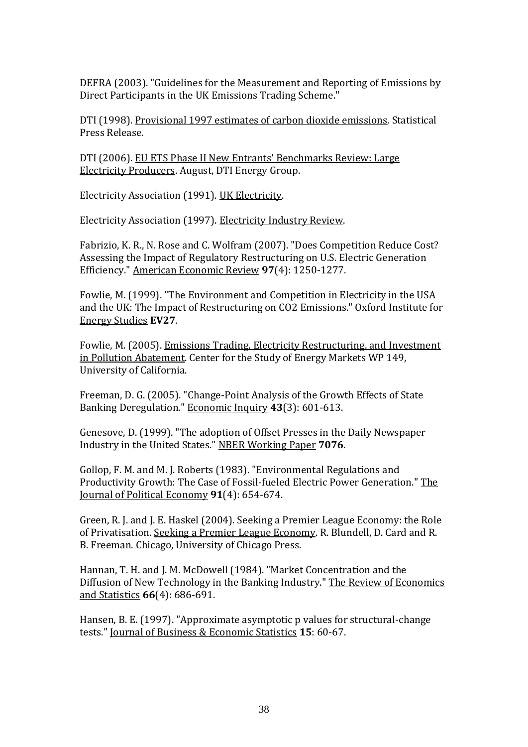DEFRA (2003). "Guidelines for the Measurement and Reporting of Emissions by Direct Participants in the UK Emissions Trading Scheme."

DTI (1998). Provisional 1997 estimates of carbon dioxide emissions. Statistical Press Release.

DTI (2006). EU ETS Phase II New Entrants' Benchmarks Review: Large Electricity Producers. August, DTI Energy Group.

Electricity Association (1991). UK Electricity.

Electricity Association (1997). Electricity Industry Review.

Fabrizio, K. R., N. Rose and C. Wolfram (2007). "Does Competition Reduce Cost? Assessing the Impact of Regulatory Restructuring on U.S. Electric Generation Efficiency." American Economic Review **97**(4): 1250-1277.

Fowlie, M. (1999). "The Environment and Competition in Electricity in the USA and the UK: The Impact of Restructuring on CO2 Emissions." Oxford Institute for Energy Studies **EV27**.

Fowlie, M. (2005). Emissions Trading, Electricity Restructuring, and Investment in Pollution Abatement. Center for the Study of Energy Markets WP 149, University of California.

Freeman, D. G. (2005). "Change-Point Analysis of the Growth Effects of State Banking Deregulation." Economic Inquiry **43**(3): 601-613.

Genesove, D. (1999). "The adoption of Offset Presses in the Daily Newspaper Industry in the United States." NBER Working Paper **7076**.

Gollop, F. M. and M. J. Roberts (1983). "Environmental Regulations and Productivity Growth: The Case of Fossil-fueled Electric Power Generation." The Journal of Political Economy **91**(4): 654-674.

Green, R. J. and J. E. Haskel (2004). Seeking a Premier League Economy: the Role of Privatisation. Seeking a Premier League Economy. R. Blundell, D. Card and R. B. Freeman. Chicago, University of Chicago Press.

Hannan, T. H. and J. M. McDowell (1984). "Market Concentration and the Diffusion of New Technology in the Banking Industry." The Review of Economics and Statistics **66**(4): 686-691.

Hansen, B. E. (1997). "Approximate asymptotic p values for structural-change tests." Journal of Business & Economic Statistics **15**: 60-67.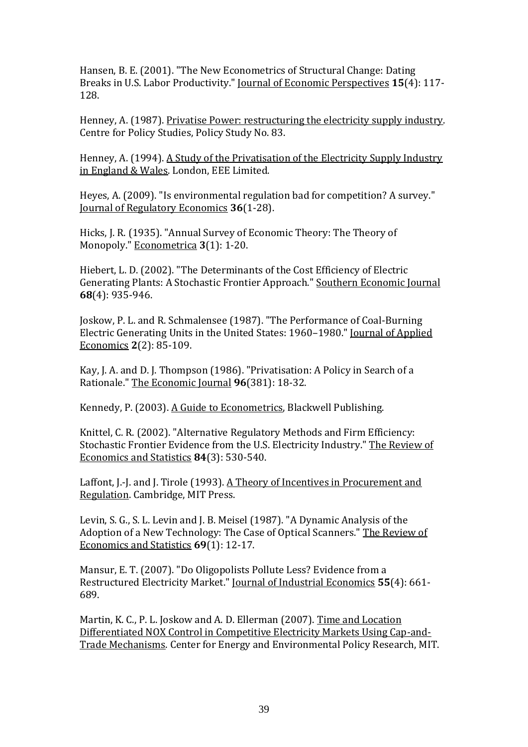Hansen, B. E. (2001). "The New Econometrics of Structural Change: Dating Breaks in U.S. Labor Productivity." Journal of Economic Perspectives **15**(4): 117- 128.

Henney, A. (1987). Privatise Power: restructuring the electricity supply industry. Centre for Policy Studies, Policy Study No. 83.

Henney, A. (1994). A Study of the Privatisation of the Electricity Supply Industry in England & Wales. London, EEE Limited.

Heyes, A. (2009). "Is environmental regulation bad for competition? A survey." Journal of Regulatory Economics **36**(1-28).

Hicks, J. R. (1935). "Annual Survey of Economic Theory: The Theory of Monopoly." Econometrica **3**(1): 1-20.

Hiebert, L. D. (2002). "The Determinants of the Cost Efficiency of Electric Generating Plants: A Stochastic Frontier Approach." Southern Economic Journal **68**(4): 935-946.

Joskow, P. L. and R. Schmalensee (1987). "The Performance of Coal-Burning Electric Generating Units in the United States: 1960–1980." Journal of Applied Economics **2**(2): 85-109.

Kay, J. A. and D. J. Thompson (1986). "Privatisation: A Policy in Search of a Rationale." The Economic Journal **96**(381): 18-32.

Kennedy, P. (2003). A Guide to Econometrics, Blackwell Publishing.

Knittel, C. R. (2002). "Alternative Regulatory Methods and Firm Efficiency: Stochastic Frontier Evidence from the U.S. Electricity Industry." The Review of Economics and Statistics **84**(3): 530-540.

Laffont, J.-J. and J. Tirole (1993). A Theory of Incentives in Procurement and Regulation. Cambridge, MIT Press.

Levin, S. G., S. L. Levin and J. B. Meisel (1987). "A Dynamic Analysis of the Adoption of a New Technology: The Case of Optical Scanners." The Review of Economics and Statistics **69**(1): 12-17.

Mansur, E. T. (2007). "Do Oligopolists Pollute Less? Evidence from a Restructured Electricity Market." Journal of Industrial Economics **55**(4): 661- 689.

Martin, K. C., P. L. Joskow and A. D. Ellerman (2007). Time and Location Differentiated NOX Control in Competitive Electricity Markets Using Cap-and-Trade Mechanisms. Center for Energy and Environmental Policy Research, MIT.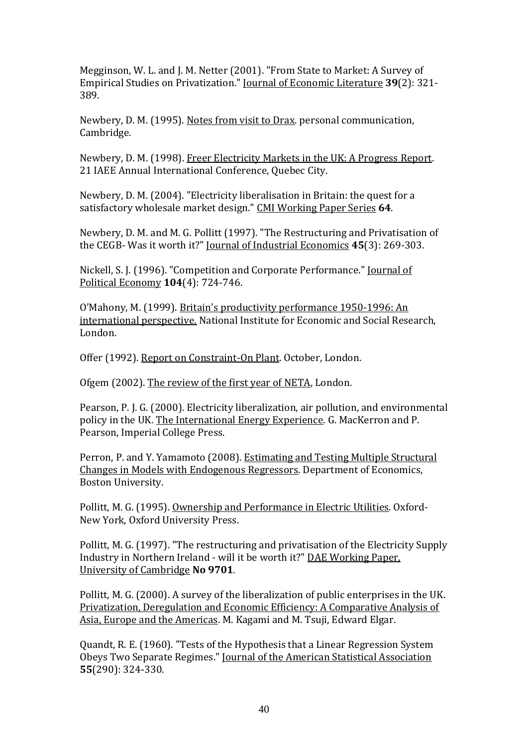Megginson, W. L. and J. M. Netter (2001). "From State to Market: A Survey of Empirical Studies on Privatization." Journal of Economic Literature **39**(2): 321- 389.

Newbery, D. M. (1995). Notes from visit to Drax. personal communication, Cambridge.

Newbery, D. M. (1998). Freer Electricity Markets in the UK: A Progress Report. 21 IAEE Annual International Conference, Quebec City.

Newbery, D. M. (2004). "Electricity liberalisation in Britain: the quest for a satisfactory wholesale market design." CMI Working Paper Series **64**.

Newbery, D. M. and M. G. Pollitt (1997). "The Restructuring and Privatisation of the CEGB- Was it worth it?" Journal of Industrial Economics **45**(3): 269-303.

Nickell, S. J. (1996). "Competition and Corporate Performance." Journal of Political Economy **104**(4): 724-746.

O'Mahony, M. (1999). Britain's productivity performance 1950-1996: An international perspective. National Institute for Economic and Social Research, London.

Offer (1992). Report on Constraint-On Plant. October, London.

Ofgem (2002). The review of the first year of NETA, London.

Pearson, P. J. G. (2000). Electricity liberalization, air pollution, and environmental policy in the UK. The International Energy Experience. G. MacKerron and P. Pearson, Imperial College Press.

Perron, P. and Y. Yamamoto (2008). Estimating and Testing Multiple Structural Changes in Models with Endogenous Regressors. Department of Economics, Boston University.

Pollitt, M. G. (1995). Ownership and Performance in Electric Utilities. Oxford-New York, Oxford University Press.

Pollitt, M. G. (1997). "The restructuring and privatisation of the Electricity Supply Industry in Northern Ireland - will it be worth it?" DAE Working Paper, University of Cambridge **No 9701**.

Pollitt, M. G. (2000). A survey of the liberalization of public enterprises in the UK. Privatization, Deregulation and Economic Efficiency: A Comparative Analysis of Asia, Europe and the Americas. M. Kagami and M. Tsuji, Edward Elgar.

Quandt, R. E. (1960). "Tests of the Hypothesis that a Linear Regression System Obeys Two Separate Regimes." Journal of the American Statistical Association **55**(290): 324-330.